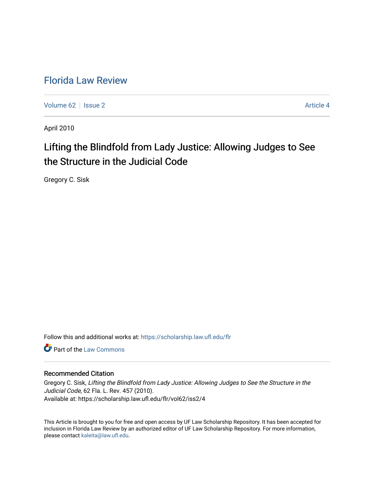## [Florida Law Review](https://scholarship.law.ufl.edu/flr)

[Volume 62](https://scholarship.law.ufl.edu/flr/vol62) | [Issue 2](https://scholarship.law.ufl.edu/flr/vol62/iss2) Article 4

April 2010

# Lifting the Blindfold from Lady Justice: Allowing Judges to See the Structure in the Judicial Code

Gregory C. Sisk

Follow this and additional works at: [https://scholarship.law.ufl.edu/flr](https://scholarship.law.ufl.edu/flr?utm_source=scholarship.law.ufl.edu%2Fflr%2Fvol62%2Fiss2%2F4&utm_medium=PDF&utm_campaign=PDFCoverPages)

**C** Part of the [Law Commons](http://network.bepress.com/hgg/discipline/578?utm_source=scholarship.law.ufl.edu%2Fflr%2Fvol62%2Fiss2%2F4&utm_medium=PDF&utm_campaign=PDFCoverPages)

### Recommended Citation

Gregory C. Sisk, Lifting the Blindfold from Lady Justice: Allowing Judges to See the Structure in the Judicial Code, 62 Fla. L. Rev. 457 (2010). Available at: https://scholarship.law.ufl.edu/flr/vol62/iss2/4

This Article is brought to you for free and open access by UF Law Scholarship Repository. It has been accepted for inclusion in Florida Law Review by an authorized editor of UF Law Scholarship Repository. For more information, please contact [kaleita@law.ufl.edu](mailto:kaleita@law.ufl.edu).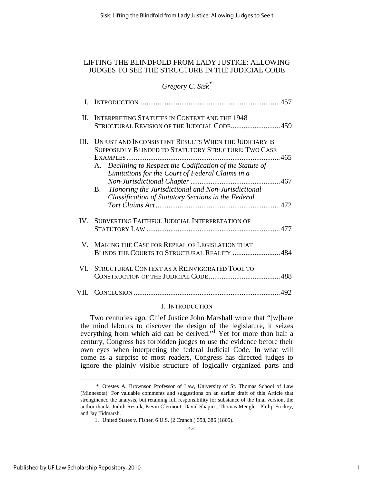### LIFTING THE BLINDFOLD FROM LADY JUSTICE: ALLOWING JUDGES TO SEE THE STRUCTURE IN THE JUDICIAL CODE

### *Gregory C. Sisk\**

| П.   | <b>INTERPRETING STATUTES IN CONTEXT AND THE 1948</b><br>STRUCTURAL REVISION OF THE JUDICIAL CODE459                                                                                                                                                                                                                                                      |  |
|------|----------------------------------------------------------------------------------------------------------------------------------------------------------------------------------------------------------------------------------------------------------------------------------------------------------------------------------------------------------|--|
| III. | UNJUST AND INCONSISTENT RESULTS WHEN THE JUDICIARY IS<br>SUPPOSEDLY BLINDED TO STATUTORY STRUCTURE: TWO CASE<br>A. Declining to Respect the Codification of the Statute of<br>Limitations for the Court of Federal Claims in a<br>Honoring the Jurisdictional and Non-Jurisdictional<br><b>B.</b><br>Classification of Statutory Sections in the Federal |  |
|      |                                                                                                                                                                                                                                                                                                                                                          |  |
|      | IV. SUBVERTING FAITHFUL JUDICIAL INTERPRETATION OF                                                                                                                                                                                                                                                                                                       |  |
|      | V. MAKING THE CASE FOR REPEAL OF LEGISLATION THAT<br>BLINDS THE COURTS TO STRUCTURAL REALITY  484                                                                                                                                                                                                                                                        |  |
|      | VI. STRUCTURAL CONTEXT AS A REINVIGORATED TOOL TO                                                                                                                                                                                                                                                                                                        |  |
|      |                                                                                                                                                                                                                                                                                                                                                          |  |

### I. INTRODUCTION

Two centuries ago, Chief Justice John Marshall wrote that "[w]here the mind labours to discover the design of the legislature, it seizes everything from which aid can be derived."<sup>1</sup> Yet for more than half a century, Congress has forbidden judges to use the evidence before their own eyes when interpreting the federal Judicial Code. In what will come as a surprise to most readers, Congress has directed judges to ignore the plainly visible structure of logically organized parts and

 <sup>\*</sup> Orestes A. Brownson Professor of Law, University of St. Thomas School of Law (Minnesota). For valuable comments and suggestions on an earlier draft of this Article that strengthened the analysis, but retaining full responsibility for substance of the final version, the author thanks Judith Resnik, Kevin Clermont, David Shapiro, Thomas Mengler, Philip Frickey, and Jay Tidmarsh.

 <sup>1.</sup> United States v. Fisher, 6 U.S. (2 Cranch.) 358, 386 (1805).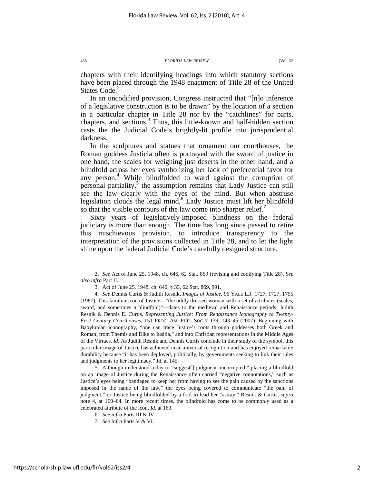chapters with their identifying headings into which statutory sections have been placed through the 1948 enactment of Title 28 of the United States Code.<sup>2</sup>

In an uncodified provision, Congress instructed that "[n]o inference of a legislative construction is to be drawn" by the location of a section in a particular chapter in Title 28 nor by the "catchlines" for parts, chapters, and sections.<sup>3</sup> Thus, this little-known and half-hidden section casts the the Judicial Code's brightly-lit profile into jurisprudential darkness.

In the sculptures and statues that ornament our courthouses, the Roman goddess Justicia often is portrayed with the sword of justice in one hand, the scales for weighing just deserts in the other hand, and a blindfold across her eyes symbolizing her lack of preferential favor for any person. 4 While blindfolded to ward against the corruption of personal partiality,<sup>5</sup> the assumption remains that Lady Justice can still see the law clearly with the eyes of the mind. But when abstruse legislation clouds the legal mind,<sup>6</sup> Lady Justice must lift her blindfold so that the visible contours of the law come into sharper relief.

Sixty years of legislatively-imposed blindness on the federal judiciary is more than enough. The time has long since passed to retire this mischievous provision, to introduce transparency to the interpretation of the provisions collected in Title 28, and to let the light shine upon the federal Judicial Code's carefully designed structure.

 5. Although understood today to "suggest[] judgment uncorrupted," placing a blindfold on an image of Justice during the Renaissance often carried "negative connotations," such as Justice's eyes being "bandaged to keep her from having to see the pain caused by the sanctions imposed in the name of the law," the eyes being covered to communicate "the pain of judgment," or Justice being blindfolded by a fool to lead her "astray." Resnik & Curtis, *supra* note 4, at 160–64. In more recent times, the blindfold has come to be commonly used as a celebrated attribute of the icon. *Id*. at 163.

 <sup>2.</sup> *See* Act of June 25, 1948, ch. 646, 62 Stat. 869 (revising and codifying Title 28). *See also infra* Part II.

 <sup>3.</sup> Act of June 25, 1948, ch. 646, § 33, 62 Stat. 869, 991.

 <sup>4.</sup> *See* Dennis Curtis & Judith Resnik, *Images of Justice*, 96 YALE L.J. 1727, 1727, 1755 (1987). This familiar icon of Justice—"the oddly dressed woman with a set of attributes (scales, sword, and sometimes a blindfold)"—dates to the medieval and Renaissance periods. Judith Resnik & Dennis E. Curtis, *Representing Justice: From Renaissance Iconography to Twenty-First Century Courthouses*, 151 PROC. AM. PHIL. SOC'Y 139, 143–45 (2007). Beginning with Babylonian iconography, "one can trace Justice's roots through goddesses both Greek and Roman, from Themis and Dike to Iusitia," and into Christian representations in the Middle Ages of the Virtues. *Id*. As Judith Resnik and Dennis Curtis conclude in their study of the symbol, this particular image of Justice has achieved near-universal recognition and has enjoyed remarkable durability because "it has been deployed, politically, by governments seeking to link their rules and judgments to her legitimacy." *Id*. at 145.

 <sup>6.</sup> *See infra* Parts III & IV.

 <sup>7.</sup> *See infra* Parts V & VI.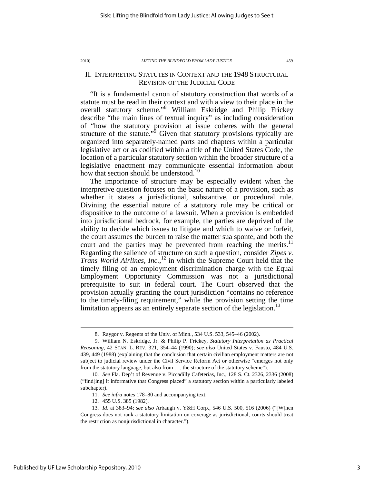### II. INTERPRETING STATUTES IN CONTEXT AND THE 1948 STRUCTURAL REVISION OF THE JUDICIAL CODE

"It is a fundamental canon of statutory construction that words of a statute must be read in their context and with a view to their place in the overall statutory scheme."<sup>8</sup> William Eskridge and Philip Frickey describe "the main lines of textual inquiry" as including consideration of "how the statutory provision at issue coheres with the general structure of the statute."<sup>9</sup> Given that statutory provisions typically are organized into separately-named parts and chapters within a particular legislative act or as codified within a title of the United States Code, the location of a particular statutory section within the broader structure of a legislative enactment may communicate essential information about how that section should be understood.<sup>10</sup>

The importance of structure may be especially evident when the interpretive question focuses on the basic nature of a provision, such as whether it states a jurisdictional, substantive, or procedural rule. Divining the essential nature of a statutory rule may be critical or dispositive to the outcome of a lawsuit. When a provision is embedded into jurisdictional bedrock, for example, the parties are deprived of the ability to decide which issues to litigate and which to waive or forfeit, the court assumes the burden to raise the matter sua sponte, and both the court and the parties may be prevented from reaching the merits.<sup>11</sup> Regarding the salience of structure on such a question, consider *Zipes v. Trans World Airlines, Inc.*, <sup>12</sup> in which the Supreme Court held that the timely filing of an employment discrimination charge with the Equal Employment Opportunity Commission was not a jurisdictional prerequisite to suit in federal court. The Court observed that the provision actually granting the court jurisdiction "contains no reference to the timely-filing requirement," while the provision setting the time limitation appears as an entirely separate section of the legislation.<sup>13</sup>

 <sup>8.</sup> Raygor v. Regents of the Univ. of Minn., 534 U.S. 533, 545–46 (2002).

 <sup>9.</sup> William N. Eskridge, Jr. & Philip P. Frickey, *Statutory Interpretation as Practical Reasoning*, 42 STAN. L. REV. 321, 354–44 (1990); *see also* United States v. Fausto, 484 U.S. 439, 449 (1988) (explaining that the conclusion that certain civilian employment matters are not subject to judicial review under the Civil Service Reform Act or otherwise "emerges not only from the statutory language, but also from . . . the structure of the statutory scheme").

 <sup>10.</sup> *See* Fla. Dep't of Revenue v. Piccadilly Cafeterias, Inc., 128 S. Ct. 2326, 2336 (2008) ("find[ing] it informative that Congress placed" a statutory section within a particularly labeled subchapter).

 <sup>11.</sup> *See infra* notes 178–80 and accompanying text.

 <sup>12. 455</sup> U.S. 385 (1982).

 <sup>13.</sup> *Id*. at 383–94; *see also* Arbaugh v. Y&H Corp., 546 U.S. 500, 516 (2006) ("[W]hen Congress does not rank a statutory limitation on coverage as jurisdictional, courts should treat the restriction as nonjurisdictional in character.").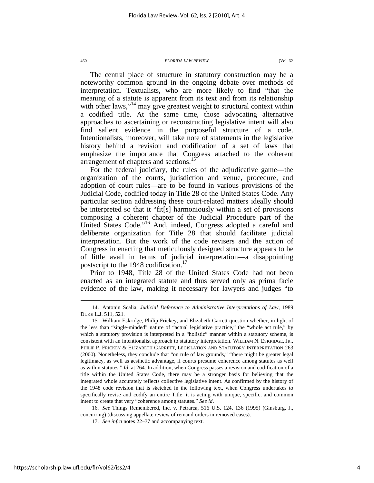The central place of structure in statutory construction may be a noteworthy common ground in the ongoing debate over methods of interpretation. Textualists, who are more likely to find "that the meaning of a statute is apparent from its text and from its relationship with other laws,"<sup>14</sup> may give greatest weight to structural context within a codified title. At the same time, those advocating alternative approaches to ascertaining or reconstructing legislative intent will also find salient evidence in the purposeful structure of a code. Intentionalists, moreover, will take note of statements in the legislative history behind a revision and codification of a set of laws that emphasize the importance that Congress attached to the coherent arrangement of chapters and sections.<sup>15</sup>

For the federal judiciary, the rules of the adjudicative game—the organization of the courts, jurisdiction and venue, procedure, and adoption of court rules—are to be found in various provisions of the Judicial Code, codified today in Title 28 of the United States Code. Any particular section addressing these court-related matters ideally should be interpreted so that it "fit[s] harmoniously within a set of provisions composing a coherent chapter of the Judicial Procedure part of the United States Code."<sup>16</sup> And, indeed, Congress adopted a careful and deliberate organization for Title 28 that should facilitate judicial interpretation. But the work of the code revisers and the action of Congress in enacting that meticulously designed structure appears to be of little avail in terms of judicial interpretation—a disappointing postscript to the 1948 codification.<sup>17</sup>

Prior to 1948, Title 28 of the United States Code had not been enacted as an integrated statute and thus served only as prima facie evidence of the law, making it necessary for lawyers and judges "to

 <sup>14.</sup> Antonin Scalia, *Judicial Deference to Administrative Interpretations of Law*, 1989 DUKE L.J. 511, 521.

 <sup>15.</sup> William Eskridge, Philip Frickey, and Elizabeth Garrett question whether, in light of the less than "single-minded" nature of "actual legislative practice," the "whole act rule," by which a statutory provision is interpreted in a "holistic" manner within a statutory scheme, is consistent with an intentionalist approach to statutory interpretation. WILLIAM N. ESKRIDGE, JR., PHILIP P. FRICKEY & ELIZABETH GARRETT, LEGISLATION AND STATUTORY INTERPRETATION 263 (2000). Nonetheless, they conclude that "on rule of law grounds," "there might be greater legal legitimacy, as well as aesthetic advantage, if courts presume coherence among statutes as well as within statutes." *Id*. at 264. In addition, when Congress passes a revision and codification of a title within the United States Code, there may be a stronger basis for believing that the integrated whole accurately reflects collective legislative intent. As confirmed by the history of the 1948 code revision that is sketched in the following text, when Congress undertakes to specifically revise and codify an entire Title, it is acting with unique, specific, and common intent to create that very "coherence among statutes." *See id*.

 <sup>16.</sup> *See* Things Remembered, Inc. v. Petrarca, 516 U.S. 124, 136 (1995) (Ginsburg, J., concurring) (discussing appellate review of remand orders in removed cases).

 <sup>17.</sup> *See infra* notes 22–37 and accompanying text.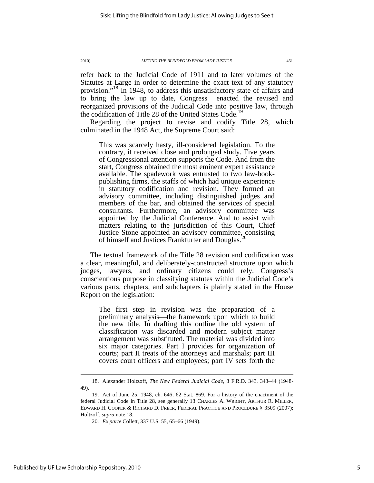refer back to the Judicial Code of 1911 and to later volumes of the Statutes at Large in order to determine the exact text of any statutory provision."<sup>18</sup> In 1948, to address this unsatisfactory state of affairs and to bring the law up to date, Congress enacted the revised and reorganized provisions of the Judicial Code into positive law, through the codification of Title 28 of the United States Code.<sup>19</sup>

Regarding the project to revise and codify Title 28, which culminated in the 1948 Act, the Supreme Court said:

This was scarcely hasty, ill-considered legislation. To the contrary, it received close and prolonged study. Five years of Congressional attention supports the Code. And from the start, Congress obtained the most eminent expert assistance available. The spadework was entrusted to two law-bookpublishing firms, the staffs of which had unique experience in statutory codification and revision. They formed an advisory committee, including distinguished judges and members of the bar, and obtained the services of special consultants. Furthermore, an advisory committee was appointed by the Judicial Conference. And to assist with matters relating to the jurisdiction of this Court, Chief Justice Stone appointed an advisory committee, consisting of himself and Justices Frankfurter and Douglas.

The textual framework of the Title 28 revision and codification was a clear, meaningful, and deliberately-constructed structure upon which judges, lawyers, and ordinary citizens could rely. Congress's conscientious purpose in classifying statutes within the Judicial Code's various parts, chapters, and subchapters is plainly stated in the House Report on the legislation:

The first step in revision was the preparation of a preliminary analysis—the framework upon which to build the new title. In drafting this outline the old system of classification was discarded and modern subject matter arrangement was substituted. The material was divided into six major categories. Part I provides for organization of courts; part II treats of the attorneys and marshals; part III covers court officers and employees; part IV sets forth the

 <sup>18.</sup> Alexander Holtzoff, *The New Federal Judicial Code*, 8 F.R.D. 343, 343–44 (1948- 49).

 <sup>19.</sup> Act of June 25, 1948, ch. 646, 62 Stat. 869. For a history of the enactment of the federal Judicial Code in Title 28, see generally 13 CHARLES A. WRIGHT, ARTHUR R. MILLER, EDWARD H. COOPER & RICHARD D. FREER, FEDERAL PRACTICE AND PROCEDURE § 3509 (2007); Holtzoff, *supra* note 18.

 <sup>20.</sup> *Ex parte* Collett, 337 U.S. 55, 65–66 (1949).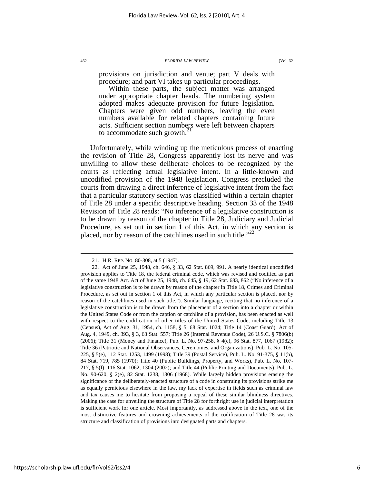provisions on jurisdiction and venue; part V deals with procedure; and part VI takes up particular proceedings.

Within these parts, the subject matter was arranged under appropriate chapter heads. The numbering system adopted makes adequate provision for future legislation. Chapters were given odd numbers, leaving the even numbers available for related chapters containing future acts. Sufficient section numbers were left between chapters to accommodate such growth. $^{21}$ 

Unfortunately, while winding up the meticulous process of enacting the revision of Title 28, Congress apparently lost its nerve and was unwilling to allow these deliberate choices to be recognized by the courts as reflecting actual legislative intent. In a little-known and uncodified provision of the 1948 legislation, Congress precluded the courts from drawing a direct inference of legislative intent from the fact that a particular statutory section was classified within a certain chapter of Title 28 under a specific descriptive heading. Section 33 of the 1948 Revision of Title 28 reads: "No inference of a legislative construction is to be drawn by reason of the chapter in Title 28, Judiciary and Judicial Procedure, as set out in section 1 of this Act, in which any section is placed, nor by reason of the catchlines used in such title."<sup>22</sup>

 <sup>21.</sup> H.R. REP. NO. 80-308, at 5 (1947).

 <sup>22.</sup> Act of June 25, 1948, ch. 646, § 33, 62 Stat. 869, 991. A nearly identical uncodified provision applies to Title 18, the federal criminal code, which was revised and codified as part of the same 1948 Act. Act of June 25, 1948, ch. 645, § 19, 62 Stat. 683, 862 ("No inference of a legislative construction is to be drawn by reason of the chapter in Title 18, Crimes and Criminal Procedure, as set out in section 1 of this Act, in which any particular section is placed, nor by reason of the catchlines used in such title."). Similar language, reciting that no inference of a legislative construction is to be drawn from the placement of a section into a chapter or within the United States Code or from the caption or catchline of a provision, has been enacted as well with respect to the codification of other titles of the United States Code, including Title 13 (Census), Act of Aug. 31, 1954, ch. 1158, § 5, 68 Stat. 1024; Title 14 (Coast Guard), Act of Aug. 4, 1949, ch. 393, § 3, 63 Stat. 557; Title 26 (Internal Revenue Code), 26 U.S.C. § 7806(b) (2006); Title 31 (Money and Finance), Pub. L. No. 97-258, § 4(e), 96 Stat. 877, 1067 (1982); Title 36 (Patriotic and National Observances, Ceremonies, and Organizations), Pub. L. No. 105- 225, § 5(e), 112 Stat. 1253, 1499 (1998); Title 39 (Postal Service), Pub. L. No. 91-375, § 11(b), 84 Stat. 719, 785 (1970); Title 40 (Public Buildings, Property, and Works), Pub. L. No. 107- 217, § 5(f), 116 Stat. 1062, 1304 (2002); and Title 44 (Public Printing and Documents), Pub. L. No. 90-620, § 2(e), 82 Stat. 1238, 1306 (1968). While largely hidden provisions erasing the significance of the deliberately-enacted structure of a code in construing its provisions strike me as equally pernicious elsewhere in the law, my lack of expertise in fields such as criminal law and tax causes me to hesitate from proposing a repeal of these similar blindness directives. Making the case for unveiling the structure of Title 28 for forthright use in judicial interpretation is sufficient work for one article. Most importantly, as addressed above in the text, one of the most distinctive features and crowning achievements of the codification of Title 28 was its structure and classification of provisions into designated parts and chapters.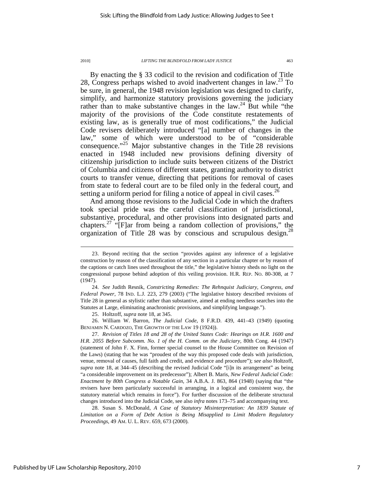$\overline{a}$ 

By enacting the § 33 codicil to the revision and codification of Title 28, Congress perhaps wished to avoid inadvertent changes in law.<sup>23</sup> To be sure, in general, the 1948 revision legislation was designed to clarify, simplify, and harmonize statutory provisions governing the judiciary rather than to make substantive changes in the law.<sup>24</sup> But while "the majority of the provisions of the Code constitute restatements of existing law, as is generally true of most codifications," the Judicial Code revisers deliberately introduced "[a] number of changes in the law," some of which were understood to be of "considerable consequence."<sup>25</sup> Major substantive changes in the Title 28 revisions enacted in 1948 included new provisions defining diversity of citizenship jurisdiction to include suits between citizens of the District of Columbia and citizens of different states, granting authority to district courts to transfer venue, directing that petitions for removal of cases from state to federal court are to be filed only in the federal court, and setting a uniform period for filing a notice of appeal in civil cases.<sup>26</sup>

And among those revisions to the Judicial Code in which the drafters took special pride was the careful classification of jurisdictional, substantive, procedural, and other provisions into designated parts and chapters.<sup>27</sup> " $[$ F $]$ ar from being a random collection of provisions," the organization of Title 28 was by conscious and scrupulous design.<sup>28</sup>

 26. William W. Barron, *The Judicial Code*, 8 F.R.D. 439, 441–43 (1949) (quoting BENJAMIN N. CARDOZO, THE GROWTH OF THE LAW 19 (1924)).

 27. *Revision of Titles 18 and 28 of the United States Code: Hearings on H.R. 1600 and H.R. 2055 Before Subcomm. No. 1 of the H. Comm. on the Judiciary*, 80th Cong. 44 (1947) (statement of John F. X. Finn, former special counsel to the House Committee on Revision of the Laws) (stating that he was "proudest of the way this proposed code deals with jurisdiction, venue, removal of causes, full faith and credit, and evidence and procedure"); *see also* Holtzoff, *supra* note 18, at 344–45 (describing the revised Judicial Code "[i]n its arrangement" as being "a considerable improvement on its predecessor"); Albert B. Maris, *New Federal Judicial Code: Enactment by 80th Congress a Notable Gain*, 34 A.B.A. J. 863, 864 (1948) (saying that "the revisers have been particularly successful in arranging, in a logical and consistent way, the statutory material which remains in force"). For further discussion of the deliberate structural changes introduced into the Judicial Code, see also *infra* notes 173–75 and accompanying text.

 28. Susan S. McDonald, *A Case of Statutory Misinterpretation: An 1839 Statute of Limitation on a Form of Debt Action is Being Misapplied to Limit Modern Regulatory Proceedings*, 49 AM. U. L. REV. 659, 673 (2000).

 <sup>23.</sup> Beyond reciting that the section "provides against any inference of a legislative construction by reason of the classification of any section in a particular chapter or by reason of the captions or catch lines used throughout the title," the legislative history sheds no light on the congressional purpose behind adoption of this veiling provision. H.R. REP. NO. 80-308, at 7 (1947).

 <sup>24.</sup> *See* Judith Resnik, *Constricting Remedies: The Rehnquist Judiciary, Congress, and Federal Power*, 78 IND. L.J. 223, 279 (2003) ("The legislative history described revisions of Title 28 in general as stylistic rather than substantive, aimed at ending needless searches into the Statutes at Large, eliminating anachronistic provisions, and simplifying language.").

 <sup>25.</sup> Holtzoff, *supra* note 18, at 345.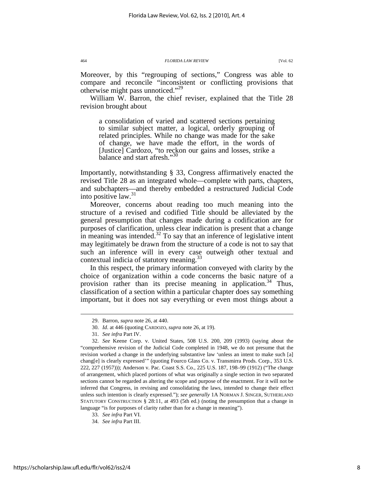Moreover, by this "regrouping of sections," Congress was able to compare and reconcile "inconsistent or conflicting provisions that otherwise might pass unnoticed."<sup>29</sup>

William W. Barron, the chief reviser, explained that the Title 28 revision brought about

a consolidation of varied and scattered sections pertaining to similar subject matter, a logical, orderly grouping of related principles. While no change was made for the sake of change, we have made the effort, in the words of [Justice] Cardozo, "to reckon our gains and losses, strike a balance and start afresh."

Importantly, notwithstanding § 33, Congress affirmatively enacted the revised Title 28 as an integrated whole—complete with parts, chapters, and subchapters—and thereby embedded a restructured Judicial Code into positive law. $31$ 

Moreover, concerns about reading too much meaning into the structure of a revised and codified Title should be alleviated by the general presumption that changes made during a codification are for purposes of clarification, unless clear indication is present that a change in meaning was intended.<sup>32</sup> To say that an inference of legislative intent may legitimately be drawn from the structure of a code is not to say that such an inference will in every case outweigh other textual and contextual indicia of statutory meaning.<sup>33</sup>

In this respect, the primary information conveyed with clarity by the choice of organization within a code concerns the basic nature of a provision rather than its precise meaning in application.<sup>34</sup> Thus, classification of a section within a particular chapter does say something important, but it does not say everything or even most things about a

 <sup>29.</sup> Barron, *supra* note 26, at 440.

 <sup>30.</sup> *Id*. at 446 (quoting CARDOZO, *supra* note 26, at 19).

 <sup>31.</sup> *See infra* Part IV.

 <sup>32.</sup> *See* Keene Corp. v. United States, 508 U.S. 200, 209 (1993) (saying about the "comprehensive revision of the Judicial Code completed in 1948, we do not presume that the revision worked a change in the underlying substantive law 'unless an intent to make such [a] chang[e] is clearly expressed'" (quoting Fourco Glass Co. v. Transmirra Prods. Corp., 353 U.S. 222, 227 (1957))); Anderson v. Pac. Coast S.S. Co., 225 U.S. 187, 198–99 (1912) ("The change of arrangement, which placed portions of what was originally a single section in two separated sections cannot be regarded as altering the scope and purpose of the enactment. For it will not be inferred that Congress, in revising and consolidating the laws, intended to change their effect unless such intention is clearly expressed."); *see generally* 1A NORMAN J. SINGER, SUTHERLAND STATUTORY CONSTRUCTION § 28:11, at 493 (5th ed.) (noting the presumption that a change in language "is for purposes of clarity rather than for a change in meaning").

 <sup>33.</sup> *See infra* Part VI.

 <sup>34.</sup> *See infra* Part III.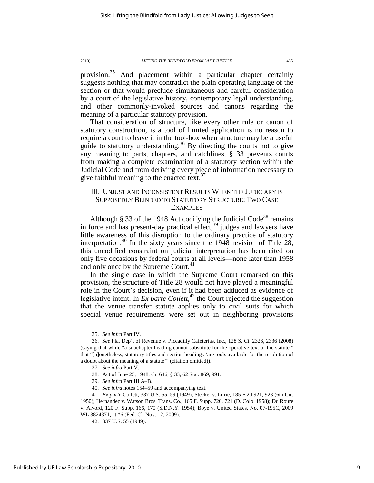provision.<sup>35</sup> And placement within a particular chapter certainly suggests nothing that may contradict the plain operating language of the section or that would preclude simultaneous and careful consideration by a court of the legislative history, contemporary legal understanding, and other commonly-invoked sources and canons regarding the meaning of a particular statutory provision.

That consideration of structure, like every other rule or canon of statutory construction, is a tool of limited application is no reason to require a court to leave it in the tool-box when structure may be a useful guide to statutory understanding.<sup>36</sup> By directing the courts not to give any meaning to parts, chapters, and catchlines, § 33 prevents courts from making a complete examination of a statutory section within the Judicial Code and from deriving every piece of information necessary to give faithful meaning to the enacted text. $37$ 

### III. UNJUST AND INCONSISTENT RESULTS WHEN THE JUDICIARY IS SUPPOSEDLY BLINDED TO STATUTORY STRUCTURE: TWO CASE EXAMPLES

Although § 33 of the 1948 Act codifying the Judicial Code<sup>38</sup> remains in force and has present-day practical effect,<sup>39</sup> judges and lawyers have little awareness of this disruption to the ordinary practice of statutory interpretation.<sup>40</sup> In the sixty years since the 1948 revision of Title 28, this uncodified constraint on judicial interpretation has been cited on only five occasions by federal courts at all levels—none later than 1958 and only once by the Supreme Court.<sup>41</sup>

In the single case in which the Supreme Court remarked on this provision, the structure of Title 28 would not have played a meaningful role in the Court's decision, even if it had been adduced as evidence of legislative intent. In *Ex parte Collett*, <sup>42</sup> the Court rejected the suggestion that the venue transfer statute applies only to civil suits for which special venue requirements were set out in neighboring provisions

 <sup>35.</sup> *See infra* Part IV.

 <sup>36.</sup> *See* Fla. Dep't of Revenue v. Piccadilly Cafeterias, Inc., 128 S. Ct. 2326, 2336 (2008) (saying that while "a subchapter heading cannot substitute for the operative text of the statute," that "[n]onetheless, statutory titles and section headings 'are tools available for the resolution of a doubt about the meaning of a statute'" (citation omitted)).

 <sup>37.</sup> *See infra* Part V.

 <sup>38.</sup> Act of June 25, 1948, ch. 646, § 33, 62 Stat. 869, 991.

 <sup>39.</sup> *See infra* Part III.A–B.

 <sup>40.</sup> *See infra* notes 154–59 and accompanying text.

 <sup>41.</sup> *Ex parte* Collett, 337 U.S. 55, 59 (1949); Steckel v. Lurie, 185 F.2d 921, 923 (6th Cir. 1950); Hernandez v. Watson Bros. Trans. Co., 165 F. Supp. 720, 721 (D. Colo. 1958); Du Roure v. Alvord, 120 F. Supp. 166, 170 (S.D.N.Y. 1954); Boye v. United States, No. 07-195C, 2009 WL 3824371, at \*6 (Fed. Cl. Nov. 12, 2009).

 <sup>42. 337</sup> U.S. 55 (1949).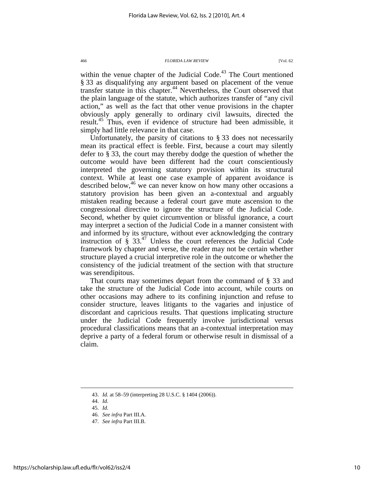within the venue chapter of the Judicial Code.<sup>43</sup> The Court mentioned § 33 as disqualifying any argument based on placement of the venue transfer statute in this chapter.<sup>44</sup> Nevertheless, the Court observed that the plain language of the statute, which authorizes transfer of "any civil action," as well as the fact that other venue provisions in the chapter obviously apply generally to ordinary civil lawsuits, directed the result.<sup>45</sup> Thus, even if evidence of structure had been admissible, it simply had little relevance in that case.

Unfortunately, the parsity of citations to § 33 does not necessarily mean its practical effect is feeble. First, because a court may silently defer to § 33, the court may thereby dodge the question of whether the outcome would have been different had the court conscientiously interpreted the governing statutory provision within its structural context. While at least one case example of apparent avoidance is described below,  $46$  we can never know on how many other occasions a statutory provision has been given an a-contextual and arguably mistaken reading because a federal court gave mute ascension to the congressional directive to ignore the structure of the Judicial Code. Second, whether by quiet circumvention or blissful ignorance, a court may interpret a section of the Judicial Code in a manner consistent with and informed by its structure, without ever acknowledging the contrary instruction of  $\S 33<sup>47</sup>$  Unless the court references the Judicial Code framework by chapter and verse, the reader may not be certain whether structure played a crucial interpretive role in the outcome or whether the consistency of the judicial treatment of the section with that structure was serendipitous.

That courts may sometimes depart from the command of § 33 and take the structure of the Judicial Code into account, while courts on other occasions may adhere to its confining injunction and refuse to consider structure, leaves litigants to the vagaries and injustice of discordant and capricious results. That questions implicating structure under the Judicial Code frequently involve jurisdictional versus procedural classifications means that an a-contextual interpretation may deprive a party of a federal forum or otherwise result in dismissal of a claim.

 <sup>43.</sup> *Id.* at 58–59 (interpreting 28 U.S.C. § 1404 (2006)).

 <sup>44.</sup> *Id.*

 <sup>45.</sup> *Id.*

 <sup>46.</sup> *See infra* Part III.A.

 <sup>47.</sup> *See infra* Part III.B.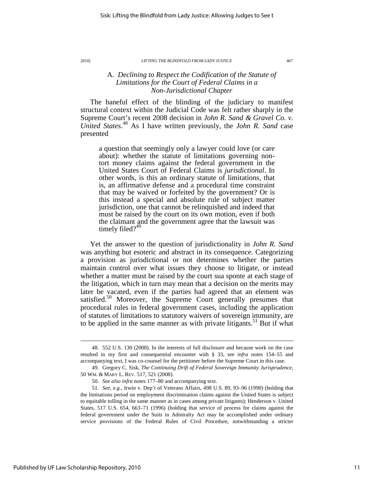### A. *Declining to Respect the Codification of the Statute of Limitations for the Court of Federal Claims in a Non-Jurisdictional Chapter*

The baneful effect of the blinding of the judiciary to manifest structural context within the Judicial Code was felt rather sharply in the Supreme Court's recent 2008 decision in *John R. Sand & Gravel Co. v. United States*. <sup>48</sup> As I have written previously, the *John R. Sand* case presented

a question that seemingly only a lawyer could love (or care about): whether the statute of limitations governing nontort money claims against the federal government in the United States Court of Federal Claims is *jurisdictional*. In other words, is this an ordinary statute of limitations, that is, an affirmative defense and a procedural time constraint that may be waived or forfeited by the government? Or is this instead a special and absolute rule of subject matter jurisdiction, one that cannot be relinquished and indeed that must be raised by the court on its own motion, even if both the claimant and the government agree that the lawsuit was timely filed? $4$ 

Yet the answer to the question of jurisdictionality in *John R. Sand* was anything but esoteric and abstract in its consequence. Categorizing a provision as jurisdictional or not determines whether the parties maintain control over what issues they choose to litigate, or instead whether a matter must be raised by the court sua sponte at each stage of the litigation, which in turn may mean that a decision on the merits may later be vacated, even if the parties had agreed that an element was satisfied.<sup>50</sup> Moreover, the Supreme Court generally presumes that procedural rules in federal government cases, including the application of statutes of limitations to statutory waivers of sovereign immunity, are to be applied in the same manner as with private litigants.<sup>51</sup> But if what

 <sup>48. 552</sup> U.S. 130 (2008). In the interests of full disclosure and because work on the case resulted in my first and consequential encounter with § 33, see *infra* notes 154–55 and accompanying text, I was co-counsel for the petitioner before the Supreme Court in this case.

 <sup>49.</sup> Gregory C. Sisk, *The Continuing Drift of Federal Sovereign Immunity Jurisprudence*, 50 WM. & MARY L. REV. 517, 521 (2008).

 <sup>50.</sup> *See also infra* notes 177–80 and accompanying text.

 <sup>51.</sup> *See, e.g.*, Irwin v. Dep't of Veterans Affairs, 498 U.S. 89, 93–96 (1990) (holding that the limitations period on employment discrimination claims against the United States is subject to equitable tolling in the same manner as in cases among private litigants); Henderson v. United States, 517 U.S. 654, 663–71 (1996) (holding that service of process for claims against the federal government under the Suits in Admiralty Act may be accomplished under ordinary service provisions of the Federal Rules of Civil Procedure, notwithstanding a stricter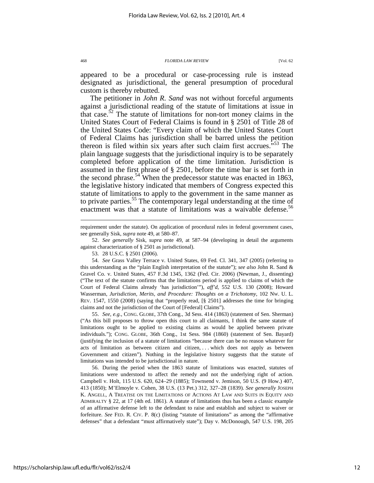appeared to be a procedural or case-processing rule is instead designated as jurisdictional, the general presumption of procedural custom is thereby rebutted.

The petitioner in *John R. Sand* was not without forceful arguments against a jurisdictional reading of the statute of limitations at issue in that case.<sup>52</sup> The statute of limitations for non-tort money claims in the United States Court of Federal Claims is found in § 2501 of Title 28 of the United States Code: "Every claim of which the United States Court of Federal Claims has jurisdiction shall be barred unless the petition thereon is filed within six years after such claim first accrues. $553$  The plain language suggests that the jurisdictional inquiry is to be separately completed before application of the time limitation. Jurisdiction is assumed in the first phrase of § 2501, before the time bar is set forth in the second phrase.<sup>54</sup> When the predecessor statute was enacted in 1863, the legislative history indicated that members of Congress expected this statute of limitations to apply to the government in the same manner as to private parties.<sup>55</sup> The contemporary legal understanding at the time of enactment was that a statute of limitations was a waivable defense.<sup>56</sup>

requirement under the statute). On application of procedural rules in federal government cases, see generally Sisk, *supra* note 49, at 580–87.

 52. *See generally* Sisk, *supra* note 49, at 587–94 (developing in detail the arguments against characterization of § 2501 as jurisdictional).

53. 28 U.S.C. § 2501 (2006).

 54. *See* Grass Valley Terrace v. United States, 69 Fed. Cl. 341, 347 (2005) (referring to this understanding as the "plain English interpretation of the statute"); *see also* John R. Sand & Gravel Co. v. United States, 457 F.3d 1345, 1362 (Fed. Cir. 2006) (Newman, J., dissenting) ("The text of the statute confirms that the limitations period is applied to claims of which the Court of Federal Claims already 'has jurisdiction'"), *aff'd*, 552 U.S. 130 (2008); Howard Wasserman, *Jurisdiction, Merits, and Procedure: Thoughts on a Trichotomy*, 102 NW. U. L. REV. 1547, 1550 (2008) (saying that "properly read, [§ 2501] addresses the time for bringing claims and not the jurisdiction of the Court of [Federal] Claims").

 55. *See, e.g.*, CONG. GLOBE, 37th Cong., 3d Sess. 414 (1863) (statement of Sen. Sherman) ("As this bill proposes to throw open this court to all claimants, I think the same statute of limitations ought to be applied to existing claims as would be applied between private individuals."); CONG. GLOBE, 36th Cong., 1st Sess. 984 (1860) (statement of Sen. Bayard) (justifying the inclusion of a statute of limitations "because there can be no reason whatever for acts of limitation as between citizen and citizen, . . . which does not apply as between Government and citizen"). Nothing in the legislative history suggests that the statute of limitations was intended to be jurisdictional in nature.

 56. During the period when the 1863 statute of limitations was enacted, statutes of limitations were understood to affect the remedy and not the underlying right of action. Campbell v. Holt, 115 U.S. 620, 624–29 (1885); Townsend v. Jemison, 50 U.S. (9 How.) 407, 413 (1850); M'Elmoyle v. Cohen, 38 U.S. (13 Pet.) 312, 327–28 (1839). *See generally* JOSEPH K. ANGELL, A TREATISE ON THE LIMITATIONS OF ACTIONS AT LAW AND SUITS IN EQUITY AND ADMIRALTY § 22, at 17 (4th ed. 1861). A statute of limitations thus has been a classic example of an affirmative defense left to the defendant to raise and establish and subject to waiver or forfeiture. *See* FED. R. CIV. P. 8(c) (listing "statute of limitations" as among the "affirmative defenses" that a defendant "must affirmatively state"); Day v. McDonough, 547 U.S. 198, 205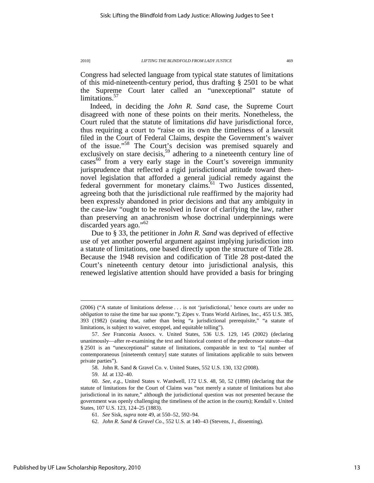Congress had selected language from typical state statutes of limitations of this mid-nineteenth-century period, thus drafting § 2501 to be what the Supreme Court later called an "unexceptional" statute of limitations.<sup>57</sup>

Indeed, in deciding the *John R. Sand* case, the Supreme Court disagreed with none of these points on their merits. Nonetheless, the Court ruled that the statute of limitations *did* have jurisdictional force, thus requiring a court to "raise on its own the timeliness of a lawsuit filed in the Court of Federal Claims, despite the Government's waiver of the issue."<sup>58</sup> The Court's decision was premised squarely and exclusively on stare decisis,<sup>59</sup> adhering to a nineteenth century line of  $\csc^{60}$  from a very early stage in the Court's sovereign immunity jurisprudence that reflected a rigid jurisdictional attitude toward thennovel legislation that afforded a general judicial remedy against the federal government for monetary claims.<sup>61</sup> Two Justices dissented, agreeing both that the jurisdictional rule reaffirmed by the majority had been expressly abandoned in prior decisions and that any ambiguity in the case-law "ought to be resolved in favor of clarifying the law, rather than preserving an anachronism whose doctrinal underpinnings were discarded years ago."<sup>62</sup>

Due to § 33, the petitioner in *John R. Sand* was deprived of effective use of yet another powerful argument against implying jurisdiction into a statute of limitations, one based directly upon the structure of Title 28. Because the 1948 revision and codification of Title 28 post-dated the Court's nineteenth century detour into jurisdictional analysis, this renewed legislative attention should have provided a basis for bringing

<sup>(2006) (&</sup>quot;A statute of limitations defense . . . is not 'jurisdictional,' hence courts are under no *obligation* to raise the time bar *sua sponte*."); Zipes v. Trans World Airlines, Inc., 455 U.S. 385, 393 (1982) (stating that, rather than being "a jurisdictional prerequisite," "a statute of limitations, is subject to waiver, estoppel, and equitable tolling").

 <sup>57.</sup> *See* Franconia Assocs. v. United States, 536 U.S. 129, 145 (2002) (declaring unanimously—after re-examining the text and historical context of the predecessor statute—that § 2501 is an "unexceptional" statute of limitations, comparable in text to "[a] number of contemporaneous [nineteenth century] state statutes of limitations applicable to suits between private parties").

 <sup>58.</sup> John R. Sand & Gravel Co. v. United States, 552 U.S. 130, 132 (2008).

 <sup>59.</sup> *Id.* at 132–40.

 <sup>60.</sup> *See, e.g.*, United States v. Wardwell, 172 U.S. 48, 50, 52 (1898) (declaring that the statute of limitations for the Court of Claims was "not merely a statute of limitations but also jurisdictional in its nature," although the jurisdictional question was not presented because the government was openly challenging the timeliness of the action in the courts); Kendall v. United States, 107 U.S. 123, 124–25 (1883).

 <sup>61.</sup> *See* Sisk, *supra* note 49, at 550–52, 592–94.

 <sup>62.</sup> *John R. Sand & Gravel Co.*, 552 U.S. at 140–43 (Stevens, J., dissenting).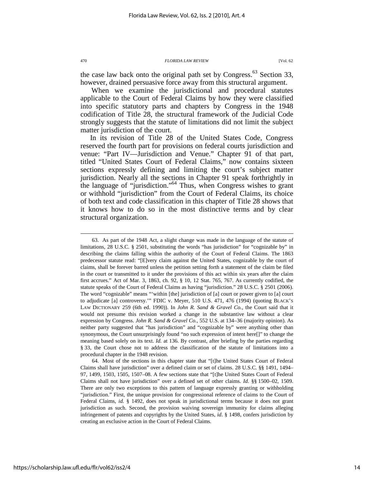14

https://scholarship.law.ufl.edu/flr/vol62/iss2/4

When we examine the jurisdictional and procedural statutes applicable to the Court of Federal Claims by how they were classified into specific statutory parts and chapters by Congress in the 1948 codification of Title 28, the structural framework of the Judicial Code strongly suggests that the statute of limitations did not limit the subject matter jurisdiction of the court.

In its revision of Title 28 of the United States Code, Congress reserved the fourth part for provisions on federal courts jurisdiction and venue: "Part IV—Jurisdiction and Venue." Chapter 91 of that part, titled "United States Court of Federal Claims," now contains sixteen sections expressly defining and limiting the court's subject matter jurisdiction. Nearly all the sections in Chapter 91 speak forthrightly in the language of "jurisdiction."<sup>64</sup> Thus, when Congress wishes to grant or withhold "jurisdiction" from the Court of Federal Claims, its choice of both text and code classification in this chapter of Title 28 shows that it knows how to do so in the most distinctive terms and by clear structural organization.

 64. Most of the sections in this chapter state that "[t]he United States Court of Federal Claims shall have jurisdiction" over a defined claim or set of claims. 28 U.S.C. §§ 1491, 1494– 97, 1499, 1503, 1505, 1507–08. A few sections state that "[t]he United States Court of Federal Claims shall not have jurisdiction" over a defined set of other claims. *Id*. §§ 1500–02, 1509. There are only two exceptions to this pattern of language expressly granting or withholding "jurisdiction." First, the unique provision for congressional reference of claims to the Court of Federal Claims, *id.* § 1492, does not speak in jurisdictional terms because it does not grant jurisdiction as such. Second, the provision waiving sovereign immunity for claims alleging infringement of patents and copyrights by the United States, *id*. § 1498, confers jurisdiction by creating an exclusive action in the Court of Federal Claims.

the case law back onto the original path set by Congress. $63$  Section 33. however, drained persuasive force away from this structural argument.

 <sup>63.</sup> As part of the 1948 Act, a slight change was made in the language of the statute of limitations, 28 U.S.C. § 2501, substituting the words "has jurisdiction" for "cognizable by" in describing the claims falling within the authority of the Court of Federal Claims. The 1863 predecessor statute read: "[E]very claim against the United States, cognizable by the court of claims, shall be forever barred unless the petition setting forth a statement of the claim be filed in the court or transmitted to it under the provisions of this act within six years after the claim first accrues." Act of Mar. 3, 1863, ch. 92, § 10, 12 Stat. 765, 767. As currently codified, the statute speaks of the Court of Federal Claims as having "jurisdiction." 28 U.S.C. § 2501 (2006). The word "cognizable" means "'within [the] jurisdiction of [a] court or power given to [a] court to adjudicate [a] controversy.'" FDIC v. Meyer, 510 U.S. 471, 476 (1994) (quoting BLACK'S LAW DICTIONARY 259 (6th ed. 1990)). In *John R. Sand & Gravel Co.*, the Court said that it would not presume this revision worked a change in the substantive law without a clear expression by Congress. *John R. Sand & Gravel Co.*, 552 U.S. at 134–36 (majority opinion). As neither party suggested that "has jurisdiction" and "cognizable by" were anything other than synonymous, the Court unsurprisingly found "no such expression of intent here[]" to change the meaning based solely on its text. *Id.* at 136. By contrast, after briefing by the parties regarding § 33, the Court chose not to address the classification of the statute of limitations into a procedural chapter in the 1948 revision.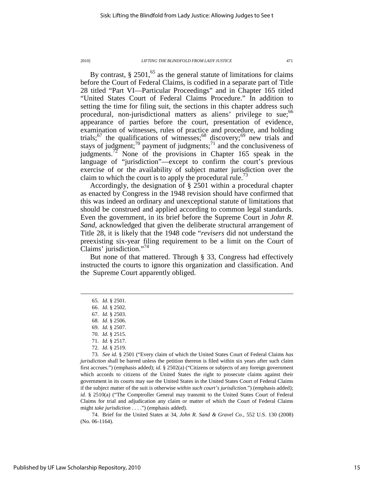By contrast,  $\S 2501<sup>65</sup>$  as the general statute of limitations for claims before the Court of Federal Claims, is codified in a separate part of Title 28 titled "Part VI—Particular Proceedings" and in Chapter 165 titled "United States Court of Federal Claims Procedure." In addition to setting the time for filing suit, the sections in this chapter address such procedural, non-jurisdictional matters as aliens' privilege to sue;<sup>66</sup> appearance of parties before the court, presentation of evidence, examination of witnesses, rules of practice and procedure, and holding trials;<sup>67</sup> the qualifications of witnesses;<sup>68</sup> discovery;<sup>69</sup> new trials and stays of judgment;<sup>70</sup> payment of judgments;<sup>71</sup> and the conclusiveness of judgments.<sup>72</sup> None of the provisions in Chapter 165 speak in the language of "jurisdiction"—except to confirm the court's previous exercise of or the availability of subject matter jurisdiction over the claim to which the court is to apply the procedural rule.<sup>73</sup>

Accordingly, the designation of § 2501 within a procedural chapter as enacted by Congress in the 1948 revision should have confirmed that this was indeed an ordinary and unexceptional statute of limitations that should be construed and applied according to common legal standards. Even the government, in its brief before the Supreme Court in *John R. Sand*, acknowledged that given the deliberate structural arrangement of Title 28, it is likely that the 1948 code "*revisers* did not understand the preexisting six-year filing requirement to be a limit on the Court of Claims' jurisdiction."<sup>74</sup>

But none of that mattered. Through § 33, Congress had effectively instructed the courts to ignore this organization and classification. And the Supreme Court apparently obliged.

 $\overline{a}$ 

72. *Id.* § 2519.

 73. *See id.* § 2501 ("Every claim of which the United States Court of Federal Claims *has jurisdiction* shall be barred unless the petition thereon is filed within six years after such claim first accrues.") (emphasis added); *id.* § 2502(a) ("Citizens or subjects of any foreign government which accords to citizens of the United States the right to prosecute claims against their government in its courts may sue the United States in the United States Court of Federal Claims if the subject matter of the suit is otherwise *within such court's jurisdiction*.") (emphasis added); *id.* § 2510(a) ("The Comptroller General may transmit to the United States Court of Federal Claims for trial and adjudication any claim or matter of which the Court of Federal Claims might *take jurisdiction* . . . .") (emphasis added).

 74. Brief for the United States at 34, *John R. Sand & Gravel Co.*, 552 U.S. 130 (2008) (No. 06-1164).

 <sup>65.</sup> *Id.* § 2501.

 <sup>66.</sup> *Id.* § 2502.

 <sup>67.</sup> *Id.* § 2503.

 <sup>68.</sup> *Id.* § 2506.

 <sup>69.</sup> *Id.* § 2507.

 <sup>70.</sup> *Id.* § 2515.

 <sup>71.</sup> *Id.* § 2517.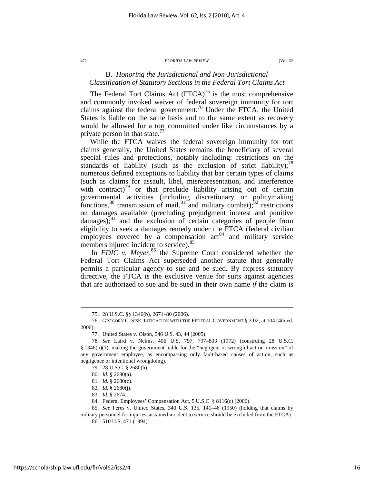### B. *Honoring the Jurisdictional and Non-Jurisdictional Classification of Statutory Sections in the Federal Tort Claims Act*

The Federal Tort Claims Act  $(FTCA)^{75}$  is the most comprehensive and commonly invoked waiver of federal sovereign immunity for tort claims against the federal government.<sup>76</sup> Under the FTCA, the United States is liable on the same basis and to the same extent as recovery would be allowed for a tort committed under like circumstances by a private person in that state. $\frac{7}{7}$ 

While the FTCA waives the federal sovereign immunity for tort claims generally, the United States remains the beneficiary of several special rules and protections, notably including: restrictions on the standards of liability (such as the exclusion of strict liability);<sup>78</sup> numerous defined exceptions to liability that bar certain types of claims (such as claims for assault, libel, misrepresentation, and interference with contract) $79$  or that preclude liability arising out of certain governmental activities (including discretionary or policymaking functions,  $80$  transmission of mail,  $81$  and military combat);  $82$  restrictions on damages available (precluding prejudgment interest and punitive  $d$ amages); $^{83}$  and the exclusion of certain categories of people from eligibility to seek a damages remedy under the FTCA (federal civilian employees covered by a compensation  $act<sup>84</sup>$  and military service members injured incident to service).<sup>85</sup>

In *FDIC v. Meyer*,<sup>86</sup> the Supreme Court considered whether the Federal Tort Claims Act superseded another statute that generally permits a particular agency to sue and be sued. By express statutory directive, the FTCA is the exclusive venue for suits against agencies that are authorized to sue and be sued in their own name *if* the claim is

 <sup>75. 28</sup> U.S.C. §§ 1346(b), 2671–80 (2006).

 <sup>76.</sup> GREGORY C. SISK, LITIGATION WITH THE FEDERAL GOVERNMENT § 3.02, at 104 (4th ed. 2006).

 <sup>77.</sup> United States v. Olson, 546 U.S. 43, 44 (2005).

 <sup>78.</sup> *See* Laird v. Nelms, 406 U.S. 797, 797–803 (1972) (construing 28 U.S.C. § 1346(b)(1), making the government liable for the "negligent or wrongful act or omission" of any government employee, as encompassing only fault-based causes of action, such as negligence or intentional wrongdoing).

 <sup>79. 28</sup> U.S.C. § 2680(h).

 <sup>80.</sup> *Id.* § 2680(a).

 <sup>81.</sup> *Id.* § 2680(c).

 <sup>82.</sup> *Id.* § 2680(j).

 <sup>83.</sup> *Id.* § 2674.

 <sup>84.</sup> Federal Employees' Compensation Act, 5 U.S.C. § 8116(c) (2006).

 <sup>85.</sup> *See* Feres v. United States, 340 U.S. 135, 141–46 (1950) (holding that claims by

military personnel for injuries sustained incident to service should be excluded from the FTCA). 86. 510 U.S. 471 (1994).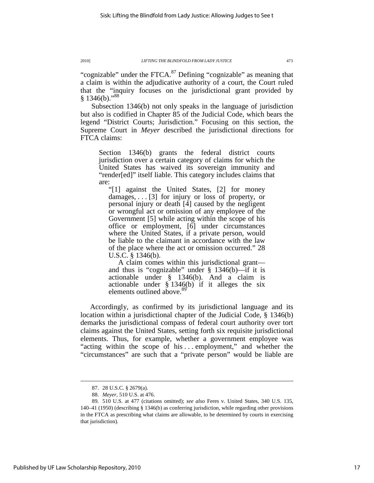"cognizable" under the FTCA. $^{87}$  Defining "cognizable" as meaning that a claim is within the adjudicative authority of a court, the Court ruled that the "inquiry focuses on the jurisdictional grant provided by  $§ 1346(b).$ <sup>88</sup>

Subsection 1346(b) not only speaks in the language of jurisdiction but also is codified in Chapter 85 of the Judicial Code, which bears the legend "District Courts; Jurisdiction." Focusing on this section, the Supreme Court in *Meyer* described the jurisdictional directions for FTCA claims:

Section 1346(b) grants the federal district courts jurisdiction over a certain category of claims for which the United States has waived its sovereign immunity and "render[ed]" itself liable. This category includes claims that are:

"[1] against the United States, [2] for money damages, . . . [3] for injury or loss of property, or personal injury or death [4] caused by the negligent or wrongful act or omission of any employee of the Government [5] while acting within the scope of his office or employment, [6] under circumstances where the United States, if a private person, would be liable to the claimant in accordance with the law of the place where the act or omission occurred." 28 U.S.C. § 1346(b).

A claim comes within this jurisdictional grant and thus is "cognizable" under § 1346(b)—if it is actionable under § 1346(b). And a claim is actionable under § 1346(b) if it alleges the six elements outlined above.<sup>89</sup>

Accordingly, as confirmed by its jurisdictional language and its location within a jurisdictional chapter of the Judicial Code, § 1346(b) demarks the jurisdictional compass of federal court authority over tort claims against the United States, setting forth six requisite jurisdictional elements. Thus, for example, whether a government employee was "acting within the scope of his . . . employment," and whether the "circumstances" are such that a "private person" would be liable are

 <sup>87. 28</sup> U.S.C. § 2679(a).

 <sup>88.</sup> *Meyer*, 510 U.S. at 476.

 <sup>89. 510</sup> U.S. at 477 (citations omitted); *see also* Feres v. United States, 340 U.S. 135, 140–41 (1950) (describing § 1346(b) as conferring jurisdiction, while regarding other provisions in the FTCA as prescribing what claims are allowable, to be determined by courts in exercising that jurisdiction).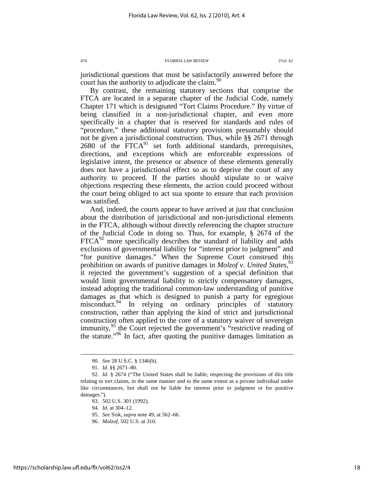jurisdictional questions that must be satisfactorily answered before the court has the authority to adjudicate the claim.  $90$ 

By contrast, the remaining statutory sections that comprise the FTCA are located in a separate chapter of the Judicial Code, namely Chapter 171 which is designated "Tort Claims Procedure." By virtue of being classified in a non-jurisdictional chapter, and even more specifically in a chapter that is reserved for standards and rules of "procedure," these additional statutory provisions presumably should not be given a jurisdictional construction. Thus, while §§ 2671 through  $2680$  of the  $\text{FTCA}^{91}$  set forth additional standards, prerequisites, directions, and exceptions which are enforceable expressions of legislative intent, the presence or absence of these elements generally does not have a jurisdictional effect so as to deprive the court of any authority to proceed. If the parties should stipulate to or waive objections respecting these elements, the action could proceed without the court being obliged to act sua sponte to ensure that each provision was satisfied.

And, indeed, the courts appear to have arrived at just that conclusion about the distribution of jurisdictional and non-jurisdictional elements in the FTCA, although without directly referencing the chapter structure of the Judicial Code in doing so. Thus, for example, § 2674 of the  $FTCA<sup>92</sup>$  more specifically describes the standard of liability and adds exclusions of governmental liability for "interest prior to judgment" and "for punitive damages." When the Supreme Court construed this prohibition on awards of punitive damages in *Molzof v. United States*,<sup>93</sup> it rejected the government's suggestion of a special definition that would limit governmental liability to strictly compensatory damages, instead adopting the traditional common-law understanding of punitive damages as that which is designed to punish a party for egregious misconduct.<sup>94</sup> In relying on ordinary principles of statutory construction, rather than applying the kind of strict and jurisdictional construction often applied to the core of a statutory waiver of sovereign immunity,<sup>95</sup> the Court rejected the government's "restrictive reading of the statute.<sup> $196$ </sup> In fact, after quoting the punitive damages limitation as

 <sup>90.</sup> *See* 28 U.S.C. § 1346(b).

 <sup>91.</sup> *Id.* §§ 2671–80.

 <sup>92.</sup> *Id*. § 2674 ("The United States shall be liable, respecting the provisions of this title relating to tort claims, in the same manner and to the same extent as a private individual under like circumstances, but shall not be liable for interest prior to judgment or for punitive damages.").

 <sup>93. 502</sup> U.S. 301 (1992).

 <sup>94.</sup> *Id*. at 304–12.

 <sup>95.</sup> *See* Sisk, *supra* note 49, at 562–66.

 <sup>96.</sup> *Molzof*, 502 U.S. at 310.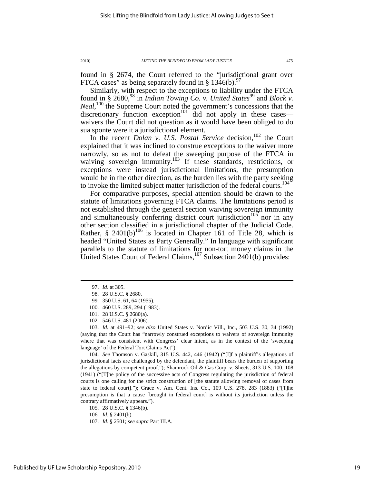found in § 2674, the Court referred to the "jurisdictional grant over FTCA cases" as being separately found in § 1346(b).<sup>97</sup>

Similarly, with respect to the exceptions to liability under the FTCA found in § 2680,<sup>98</sup> in *Indian Towing Co. v. United States*<sup>99</sup> and *Block v.* Neal,<sup>100</sup> the Supreme Court noted the government's concessions that the discretionary function exception<sup>101</sup> did not apply in these cases waivers the Court did not question as it would have been obliged to do sua sponte were it a jurisdictional element.

In the recent *Dolan v. U.S. Postal Service* decision,<sup>102</sup> the Court explained that it was inclined to construe exceptions to the waiver more narrowly, so as not to defeat the sweeping purpose of the FTCA in waiving sovereign immunity.<sup>103</sup> If these standards, restrictions, or exceptions were instead jurisdictional limitations, the presumption would be in the other direction, as the burden lies with the party seeking to invoke the limited subject matter jurisdiction of the federal courts.<sup>104</sup>

For comparative purposes, special attention should be drawn to the statute of limitations governing FTCA claims. The limitations period is not established through the general section waiving sovereign immunity and simultaneously conferring district court jurisdiction<sup>105</sup> nor in any other section classified in a jurisdictional chapter of the Judicial Code. Rather, § 2401(b)<sup>106</sup> is located in Chapter 161 of Title 28, which is headed "United States as Party Generally." In language with significant parallels to the statute of limitations for non-tort money claims in the United States Court of Federal Claims,  $107$  Subsection 2401(b) provides:

 $\overline{a}$ 

100. 460 U.S. 289, 294 (1983).

 103. *Id.* at 491–92; *see also* United States v. Nordic Vill., Inc., 503 U.S. 30, 34 (1992) (saying that the Court has "narrowly construed exceptions to waivers of sovereign immunity where that was consistent with Congress' clear intent, as in the context of the 'sweeping language' of the Federal Tort Claims Act").

 104. *See* Thomson v. Gaskill, 315 U.S. 442, 446 (1942) ("[I]f a plaintiff's allegations of jurisdictional facts are challenged by the defendant, the plaintiff bears the burden of supporting the allegations by competent proof."); Shamrock Oil & Gas Corp. v. Sheets, 313 U.S. 100, 108 (1941) ("[T]he policy of the successive acts of Congress regulating the jurisdiction of federal courts is one calling for the strict construction of [the statute allowing removal of cases from state to federal court]."); Grace v. Am. Cent. Ins. Co., 109 U.S. 278, 283 (1883) ("[T]he presumption is that a cause [brought in federal court] is without its jurisdiction unless the contrary affirmatively appears.").

105. 28 U.S.C. § 1346(b).

106. *Id*. § 2401(b).

107. *Id*. § 2501; *see supra* Part III.A.

 <sup>97.</sup> *Id*. at 305.

 <sup>98. 28</sup> U.S.C. § 2680.

 <sup>99. 350</sup> U.S. 61, 64 (1955).

 <sup>101. 28</sup> U.S.C. § 2680(a).

 <sup>102. 546</sup> U.S. 481 (2006).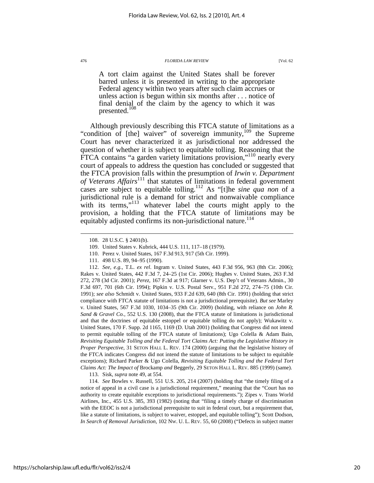A tort claim against the United States shall be forever barred unless it is presented in writing to the appropriate Federal agency within two years after such claim accrues or unless action is begun within six months after . . . notice of final denial of the claim by the agency to which it was presented. $108$ 

Although previously describing this FTCA statute of limitations as a "condition of [the] waiver" of sovereign immunity,<sup>109</sup> the Supreme Court has never characterized it as jurisdictional nor addressed the question of whether it is subject to equitable tolling. Reasoning that the FTCA contains "a garden variety limitations provision,"<sup>110</sup> nearly every court of appeals to address the question has concluded or suggested that the FTCA provision falls within the presumption of *Irwin v. Department of Veterans Affairs*<sup>111</sup> that statutes of limitations in federal government cases are subject to equitable tolling.<sup>112</sup> As "[t]he *sine qua non* of a jurisdictional rule is a demand for strict and nonwaivable compliance with its terms,"<sup>113</sup> whatever label the courts might apply to the provision, a holding that the FTCA statute of limitations may be equitably adjusted confirms its non-jurisdictional nature.<sup>114</sup>

 $\overline{a}$ 

 112. *See, e.g.*, T.L. *ex rel*. Ingram v. United States, 443 F.3d 956, 963 (8th Cir. 2006); Rakes v. United States, 442 F.3d 7, 24–25 (1st Cir. 2006); Hughes v. United States, 263 F.3d 272, 278 (3d Cir. 2001); *Perez*, 167 F.3d at 917; Glarner v. U.S. Dep't of Veterans Admin., 30 F.3d 697, 701 (6th Cir. 1994); Pipkin v. U.S. Postal Serv., 951 F.2d 272, 274–75 (10th Cir. 1991); *see also* Schmidt v. United States, 933 F.2d 639, 640 (8th Cir. 1991) (holding that strict compliance with FTCA statute of limitations is not a jurisdictional prerequisite). *But see* Marley v. United States, 567 F.3d 1030, 1034–35 (9th Cir. 2009) (holding, with reliance on *John R. Sand & Gravel Co.*, 552 U.S. 130 (2008), that the FTCA statute of limitations is jurisdictional and that the doctrines of equitable estoppel or equitable tolling do not apply); Wukawitz v. United States, 170 F. Supp. 2d 1165, 1169 (D. Utah 2001) (holding that Congress did not intend to permit equitable tolling of the FTCA statute of limitations); Ugo Colella & Adam Bain, *Revisiting Equitable Tolling and the Federal Tort Claims Act: Putting the Legislative History in Proper Perspective*, 31 SETON HALL L. REV. 174 (2000) (arguing that the legislative history of the FTCA indicates Congress did not intend the statute of limitations to be subject to equitable exceptions); Richard Parker & Ugo Colella, *Revisiting Equitable Tolling and the Federal Tort Claims Act: The Impact of* Brockamp *and* Beggerly, 29 SETON HALL L. REV. 885 (1999) (same).

113. Sisk, *supra* note 49, at 554.

 114. *See* Bowles v. Russell, 551 U.S. 205, 214 (2007) (holding that "the timely filing of a notice of appeal in a civil case is a jurisdictional requirement," meaning that the "Court has no authority to create equitable exceptions to jurisdictional requirements."); Zipes v. Trans World Airlines, Inc., 455 U.S. 385, 393 (1982) (noting that "filing a timely charge of discrimination with the EEOC is not a jurisdictional prerequisite to suit in federal court, but a requirement that, like a statute of limitations, is subject to waiver, estoppel, and equitable tolling"); Scott Dodson, *In Search of Removal Jurisdiction*, 102 NW. U. L. REV. 55, 60 (2008) ("Defects in subject matter

 <sup>108. 28</sup> U.S.C. § 2401(b).

 <sup>109.</sup> United States v. Kubrick, 444 U.S. 111, 117–18 (1979).

 <sup>110.</sup> Perez v. United States, 167 F.3d 913, 917 (5th Cir. 1999).

 <sup>111. 498</sup> U.S. 89, 94–95 (1990).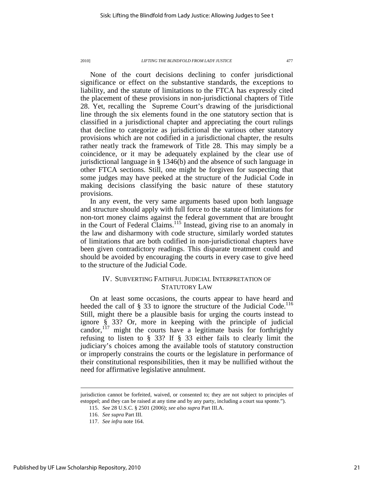None of the court decisions declining to confer jurisdictional significance or effect on the substantive standards, the exceptions to liability, and the statute of limitations to the FTCA has expressly cited the placement of these provisions in non-jurisdictional chapters of Title 28. Yet, recalling the Supreme Court's drawing of the jurisdictional line through the six elements found in the one statutory section that is classified in a jurisdictional chapter and appreciating the court rulings that decline to categorize as jurisdictional the various other statutory provisions which are not codified in a jurisdictional chapter, the results rather neatly track the framework of Title 28. This may simply be a coincidence, or it may be adequately explained by the clear use of jurisdictional language in § 1346(b) and the absence of such language in other FTCA sections. Still, one might be forgiven for suspecting that some judges may have peeked at the structure of the Judicial Code in making decisions classifying the basic nature of these statutory provisions.

In any event, the very same arguments based upon both language and structure should apply with full force to the statute of limitations for non-tort money claims against the federal government that are brought in the Court of Federal Claims.<sup>115</sup> Instead, giving rise to an anomaly in the law and disharmony with code structure, similarly worded statutes of limitations that are both codified in non-jurisdictional chapters have been given contradictory readings. This disparate treatment could and should be avoided by encouraging the courts in every case to give heed to the structure of the Judicial Code.

### IV. SUBVERTING FAITHFUL JUDICIAL INTERPRETATION OF STATUTORY LAW

On at least some occasions, the courts appear to have heard and heeded the call of  $\S$  33 to ignore the structure of the Judicial Code.<sup>116</sup> Still, might there be a plausible basis for urging the courts instead to ignore § 33? Or, more in keeping with the principle of judicial candor,  $117$  might the courts have a legitimate basis for forthrightly refusing to listen to § 33? If § 33 either fails to clearly limit the judiciary's choices among the available tools of statutory construction or improperly constrains the courts or the legislature in performance of their constitutional responsibilities, then it may be nullified without the need for affirmative legislative annulment.

jurisdiction cannot be forfeited, waived, or consented to; they are not subject to principles of estoppel; and they can be raised at any time and by any party, including a court sua sponte.").

 <sup>115.</sup> *See* 28 U.S.C. § 2501 (2006); *see also supra* Part III.A.

 <sup>116.</sup> *See supra* Part III.

 <sup>117.</sup> *See infra* note 164.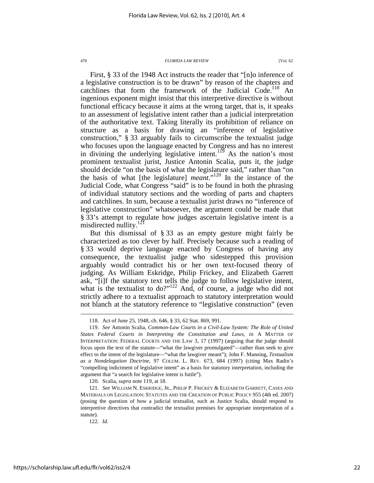First, § 33 of the 1948 Act instructs the reader that "[n]o inference of a legislative construction is to be drawn" by reason of the chapters and catchlines that form the framework of the Judicial Code.<sup>118</sup> An ingenious exponent might insist that this interpretive directive is without functional efficacy because it aims at the wrong target, that is, it speaks to an assessment of legislative intent rather than a judicial interpretation of the authoritative text. Taking literally its prohibition of reliance on structure as a basis for drawing an "inference of legislative construction," § 33 arguably fails to circumscribe the textualist judge who focuses upon the language enacted by Congress and has no interest in divining the underlying legislative intent.<sup>119</sup> As the nation's most prominent textualist jurist, Justice Antonin Scalia, puts it, the judge should decide "on the basis of what the legislature said," rather than "on the basis of what [the legislature] *meant*."<sup>120</sup> In the instance of the Judicial Code, what Congress "said" is to be found in both the phrasing of individual statutory sections and the wording of parts and chapters and catchlines. In sum, because a textualist jurist draws no "inference of legislative construction" whatsoever, the argument could be made that § 33's attempt to regulate how judges ascertain legislative intent is a misdirected nullity. $^{121}$ 

But this dismissal of § 33 as an empty gesture might fairly be characterized as too clever by half. Precisely because such a reading of § 33 would deprive language enacted by Congress of having any consequence, the textualist judge who sidestepped this provision arguably would contradict his or her own text-focused theory of judging. As William Eskridge, Philip Frickey, and Elizabeth Garrett ask, "[i]f the statutory text tells the judge to follow legislative intent, what is the textualist to do?" $122$  And, of course, a judge who did not strictly adhere to a textualist approach to statutory interpretation would not blanch at the statutory reference to "legislative construction" (even

 <sup>118.</sup> Act of June 25, 1948, ch. 646, § 33, 62 Stat. 869, 991.

 <sup>119.</sup> *See* Antonin Scalia, *Common-Law Courts in a Civil-Law System: The Role of United States Federal Courts in Interpreting the Constitution and Laws*, *in* A MATTER OF INTERPRETATION: FEDERAL COURTS AND THE LAW 3, 17 (1997) (arguing that the judge should focus upon the text of the statute—"what the lawgiver promulgated"—rather than seek to give effect to the intent of the legislature—"what the lawgiver meant"); John F. Manning, *Textualism as a Nondelegation Doctrine*, 97 COLUM. L. REV. 673, 684 (1997) (citing Max Radin's "compelling indictment of legislative intent" as a basis for statutory interpretation, including the argument that "a search for legislative intent is futile").

 <sup>120.</sup> Scalia, *supra* note 119, at 18.

 <sup>121.</sup> *See* WILLIAM N. ESKRIDGE, JR., PHILIP P. FRICKEY & ELIZABETH GARRETT, CASES AND MATERIALS ON LEGISLATION: STATUTES AND THE CREATION OF PUBLIC POLICY 955 (4th ed. 2007) (posing the question of how a judicial textualist, such as Justice Scalia, should respond to interpretive directives that contradict the textualist premises for appropriate interpretation of a statute).

 <sup>122.</sup> *Id.*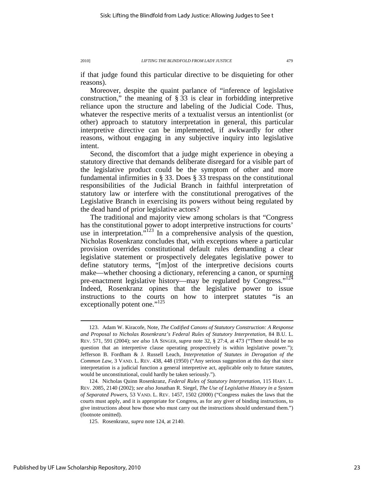if that judge found this particular directive to be disquieting for other reasons).

Moreover, despite the quaint parlance of "inference of legislative construction," the meaning of § 33 is clear in forbidding interpretive reliance upon the structure and labeling of the Judicial Code. Thus, whatever the respective merits of a textualist versus an intentionlist (or other) approach to statutory interpretation in general, this particular interpretive directive can be implemented, if awkwardly for other reasons, without engaging in any subjective inquiry into legislative intent.

Second, the discomfort that a judge might experience in obeying a statutory directive that demands deliberate disregard for a visible part of the legislative product could be the symptom of other and more fundamental infirmities in § 33. Does § 33 trespass on the constitutional responsibilities of the Judicial Branch in faithful interpretation of statutory law or interfere with the constitutional prerogatives of the Legislative Branch in exercising its powers without being regulated by the dead hand of prior legislative actors?

The traditional and majority view among scholars is that "Congress has the constitutional power to adopt interpretive instructions for courts' use in interpretation."<sup>123</sup> In a comprehensive analysis of the question, Nicholas Rosenkranz concludes that, with exceptions where a particular provision overrides constitutional default rules demanding a clear legislative statement or prospectively delegates legislative power to define statutory terms, "[m]ost of the interpretive decisions courts make—whether choosing a dictionary, referencing a canon, or spurning pre-enactment legislative history—may be regulated by Congress."<sup>124</sup> Indeed, Rosenkranz opines that the legislative power to issue instructions to the courts on how to interpret statutes "is an exceptionally potent one."<sup>125</sup>

 <sup>123.</sup> Adam W. Kiracofe, Note, *The Codified Canons of Statutory Construction: A Response and Proposal to Nicholas Rosenkranz's Federal Rules of Statutory Interpretation*, 84 B.U. L. REV. 571, 591 (2004); *see also* 1A SINGER, *supra* note 32, § 27:4, at 473 ("There should be no question that an interpretive clause operating prospectively is within legislative power."); Jefferson B. Fordham & J. Russell Leach, *Interpretation of Statutes in Derogation of the Common Law*, 3 VAND. L. REV. 438, 448 (1950) ("Any serious suggestion at this day that since interpretation is a judicial function a general interpretive act, applicable only to future statutes, would be unconstitutional, could hardly be taken seriously.").

 <sup>124.</sup> Nicholas Quinn Rosenkranz, *Federal Rules of Statutory Interpretation*, 115 HARV. L. REV. 2085, 2140 (2002); *see also* Jonathan R. Siegel, *The Use of Legislative History in a System of Separated Powers*, 53 VAND. L. REV. 1457, 1502 (2000) ("Congress makes the laws that the courts must apply, and it is appropriate for Congress, as for any giver of binding instructions, to give instructions about how those who must carry out the instructions should understand them.") (footnote omitted).

 <sup>125.</sup> Rosenkranz, *supra* note 124, at 2140.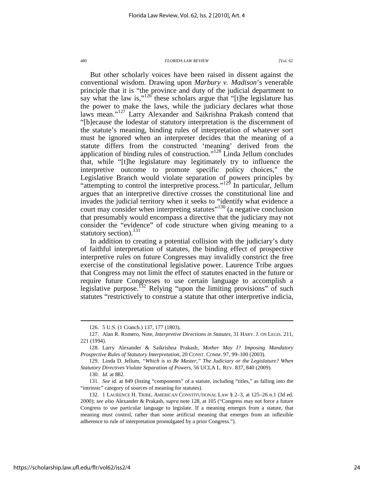But other scholarly voices have been raised in dissent against the conventional wisdom. Drawing upon *Marbury v. Madison*'s venerable principle that it is "the province and duty of the judicial department to say what the law is," $126$  these scholars argue that "[t]he legislature has the power to make the laws, while the judiciary declares what those laws mean."<sup>127</sup> Larry Alexander and Saikrishna Prakash contend that "[b]ecause the lodestar of statutory interpretation is the discernment of the statute's meaning, binding rules of interpretation of whatever sort must be ignored when an interpreter decides that the meaning of a statute differs from the constructed 'meaning' derived from the application of binding rules of construction."<sup>128</sup> Linda Jellum concludes that, while "[t]he legislature may legitimately try to influence the interpretive outcome to promote specific policy choices," the Legislative Branch would violate separation of powers principles by "attempting to control the interpretive process."<sup>129</sup> In particular, Jellum argues that an interpretive directive crosses the constitutional line and invades the judicial territory when it seeks to "identify what evidence a court may consider when interpreting statutes<sup>"130</sup> (a negative conclusion that presumably would encompass a directive that the judiciary may not consider the "evidence" of code structure when giving meaning to a statutory section).<sup>131</sup>

In addition to creating a potential collision with the judiciary's duty of faithful interpretation of statutes, the binding effect of prospective interpretive rules on future Congresses may invalidly constrict the free exercise of the constitutional legislative power. Laurence Tribe argues that Congress may not limit the effect of statutes enacted in the future or require future Congresses to use certain language to accomplish a legislative purpose.<sup>132</sup> Relying "upon the limiting provisions" of such statutes "restrictively to construe a statute that other interpretive indicia,

 <sup>126. 5</sup> U.S. (1 Cranch.) 137, 177 (1803).

 <sup>127.</sup> Alan R. Romero, Note, *Interpretive Directions in Statutes*, 31 HARV. J. ON LEGIS. 211, 221 (1994).

 <sup>128.</sup> Larry Alexander & Saikrishna Prakash, *Mother May I? Imposing Mandatory Prospective Rules of Statutory Interpretation*, 20 CONST. COMM. 97, 99–100 (2003).

 <sup>129.</sup> Linda D. Jellum, *"Which is to Be Master," The Judiciary or the Legislature? When Statutory Directives Violate Separation of Powers*, 56 UCLA L. REV. 837, 840 (2009).

 <sup>130.</sup> *Id.* at 882.

 <sup>131.</sup> *See id.* at 849 (listing "components" of a statute, including "titles," as falling into the "intrinsic" category of sources of meaning for statutes).

 <sup>132. 1</sup> LAURENCE H. TRIBE, AMERICAN CONSTITUTIONAL LAW § 2–3, at 125–26 n.1 (3d ed. 2000); *see also* Alexander & Prakash, *supra* note 128, at 105 ("Congress may not force a future Congress to use particular language to legislate. If a meaning emerges from a statute, that meaning must control, rather than some artificial meaning that emerges from an inflexible adherence to rule of interpretation promulgated by a prior Congress.").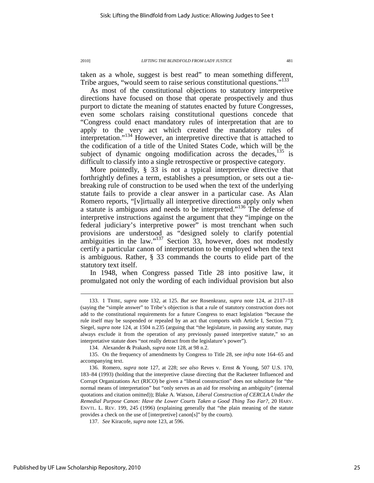taken as a whole, suggest is best read" to mean something different, Tribe argues, "would seem to raise serious constitutional questions."<sup>133</sup>

As most of the constitutional objections to statutory interpretive directions have focused on those that operate prospectively and thus purport to dictate the meaning of statutes enacted by future Congresses, even some scholars raising constitutional questions concede that "Congress could enact mandatory rules of interpretation that are to apply to the very act which created the mandatory rules of interpretation."<sup>134</sup> However, an interpretive directive that is attached to the codification of a title of the United States Code, which will be the subject of dynamic ongoing modification across the decades, $135$  is difficult to classify into a single retrospective or prospective category.

More pointedly, § 33 is not a typical interpretive directive that forthrightly defines a term, establishes a presumption, or sets out a tiebreaking rule of construction to be used when the text of the underlying statute fails to provide a clear answer in a particular case. As Alan Romero reports, "[v]irtually all interpretive directions apply only when a statute is ambiguous and needs to be interpreted."<sup>136</sup> The defense of interpretive instructions against the argument that they "impinge on the federal judiciary's interpretive power" is most trenchant when such provisions are understood as "designed solely to clarify potential ambiguities in the law." $137$  Section 33, however, does not modestly certify a particular canon of interpretation to be employed when the text is ambiguous. Rather, § 33 commands the courts to elide part of the statutory text itself.

In 1948, when Congress passed Title 28 into positive law, it promulgated not only the wording of each individual provision but also

 <sup>133. 1</sup> TRIBE, *supra* note 132, at 125. *But see* Rosenkranz, *supra* note 124, at 2117–18 (saying the "simple answer" to Tribe's objection is that a rule of statutory construction does not add to the constitutional requirements for a future Congress to enact legislation "because the rule itself may be suspended or repealed by an act that comports with Article I, Section 7"); Siegel, *supra* note 124, at 1504 n.235 (arguing that "the legislature, in passing any statute, may always exclude it from the operation of any previously passed interpretive statute," so an interpretative statute does "not really detract from the legislature's power").

 <sup>134.</sup> Alexander & Prakash, *supra* note 128, at 98 n.2.

 <sup>135.</sup> On the frequency of amendments by Congress to Title 28, see *infra* note 164–65 and accompanying text.

 <sup>136.</sup> Romero, *supra* note 127, at 228; *see also* Reves v. Ernst & Young, 507 U.S. 170, 183–84 (1993) (holding that the interpretive clause directing that the Racketeer Influenced and Corrupt Organizations Act (RICO) be given a "liberal construction" does not substitute for "the normal means of interpretation" but "only serves as an aid for resolving an ambiguity" (internal quotations and citation omitted)); Blake A. Watson, *Liberal Construction of CERCLA Under the Remedial Purpose Canon: Have the Lower Courts Taken a Good Thing Too Far?*, 20 HARV. ENVTL. L. REV. 199, 245 (1996) (explaining generally that "the plain meaning of the statute provides a check on the use of [interpretive] canon[s]" by the courts).

 <sup>137.</sup> *See* Kiracofe, *supra* note 123, at 596.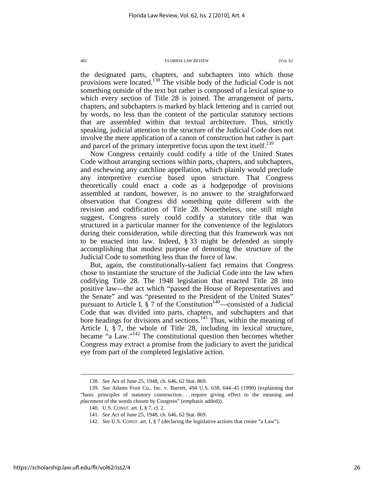the designated parts, chapters, and subchapters into which those provisions were located.<sup>138</sup> The visible body of the Judicial Code is not something outside of the text but rather is composed of a lexical spine to which every section of Title 28 is joined. The arrangement of parts, chapters, and subchapters is marked by black lettering and is carried out by words, no less than the content of the particular statutory sections that are assembled within that textual architecture. Thus, strictly speaking, judicial attention to the structure of the Judicial Code does not involve the mere application of a canon of construction but rather is part and parcel of the primary interpretive focus upon the text itself.<sup>139</sup>

Now Congress certainly could codify a title of the United States Code without arranging sections within parts, chapters, and subchapters, and eschewing any catchline appellation, which plainly would preclude any interpretive exercise based upon structure. That Congress theoretically could enact a code as a hodgepodge of provisions assembled at random, however, is no answer to the straightforward observation that Congress did something quite different with the revision and codification of Title 28. Nonetheless, one still might suggest, Congress surely could codify a statutory title that was structured in a particular manner for the convenience of the legislators during their consideration, while directing that this framework was not to be enacted into law. Indeed, § 33 might be defended as simply accomplishing that modest purpose of demoting the structure of the Judicial Code to something less than the force of law.

But, again, the constitutionally-salient fact remains that Congress chose to instantiate the structure of the Judicial Code into the law when codifying Title 28. The 1948 legislation that enacted Title 28 into positive law—the act which "passed the House of Representatives and the Senate" and was "presented to the President of the United States" pursuant to Article I,  $\hat{\S}$  7 of the Constitution<sup>140</sup>—consisted of a Judicial Code that was divided into parts, chapters, and subchapters and that bore headings for divisions and sections.<sup>141</sup> Thus, within the meaning of Article I, § 7, the whole of Title 28, including its lexical structure, became "a Law."<sup>142</sup> The constitutional question then becomes whether Congress may extract a promise from the judiciary to avert the juridical eye from part of the completed legislative action.

 <sup>138.</sup> *See* Act of June 25, 1948, ch. 646, 62 Stat. 869.

 <sup>139.</sup> *See* Adams Fruit Co., Inc. v. Barrett, 494 U.S. 638, 644–45 (1990) (explaining that "basic principles of statutory construction . . . require giving effect to the meaning and *placement* of the words chosen by Congress" (emphasis added)).

 <sup>140.</sup> U.S. CONST. art. I, § 7, cl. 2.

 <sup>141.</sup> *See* Act of June 25, 1948, ch. 646, 62 Stat. 869.

 <sup>142.</sup> *See* U.S. CONST. art. I, § 7 (declaring the legislative actions that create "a Law").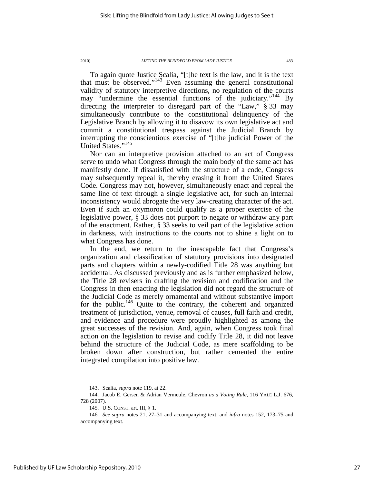To again quote Justice Scalia, "[t]he text is the law, and it is the text that must be observed."<sup>143</sup> Even assuming the general constitutional validity of statutory interpretive directions, no regulation of the courts may "undermine the essential functions of the judiciary."<sup>144</sup> By directing the interpreter to disregard part of the "Law," § 33 may simultaneously contribute to the constitutional delinquency of the Legislative Branch by allowing it to disavow its own legislative act and commit a constitutional trespass against the Judicial Branch by interrupting the conscientious exercise of "[t]he judicial Power of the United States."<sup>145</sup>

Nor can an interpretive provision attached to an act of Congress serve to undo what Congress through the main body of the same act has manifestly done. If dissatisfied with the structure of a code, Congress may subsequently repeal it, thereby erasing it from the United States Code. Congress may not, however, simultaneously enact and repeal the same line of text through a single legislative act, for such an internal inconsistency would abrogate the very law-creating character of the act. Even if such an oxymoron could qualify as a proper exercise of the legislative power, § 33 does not purport to negate or withdraw any part of the enactment. Rather, § 33 seeks to veil part of the legislative action in darkness, with instructions to the courts not to shine a light on to what Congress has done.

In the end, we return to the inescapable fact that Congress's organization and classification of statutory provisions into designated parts and chapters within a newly-codified Title 28 was anything but accidental. As discussed previously and as is further emphasized below, the Title 28 revisers in drafting the revision and codification and the Congress in then enacting the legislation did not regard the structure of the Judicial Code as merely ornamental and without substantive import for the public.<sup>146</sup> Quite to the contrary, the coherent and organized treatment of jurisdiction, venue, removal of causes, full faith and credit, and evidence and procedure were proudly highlighted as among the great successes of the revision. And, again, when Congress took final action on the legislation to revise and codify Title 28, it did not leave behind the structure of the Judicial Code, as mere scaffolding to be broken down after construction, but rather cemented the entire integrated compilation into positive law.

 <sup>143.</sup> Scalia, *supra* note 119, at 22.

 <sup>144.</sup> Jacob E. Gersen & Adrian Vermeule, Chevron *as a Voting Rule*, 116 YALE L.J. 676, 728 (2007).

 <sup>145.</sup> U.S. CONST. art. III, § 1.

 <sup>146.</sup> *See supra* notes 21, 27–31 and accompanying text, and *infra* notes 152, 173–75 and accompanying text.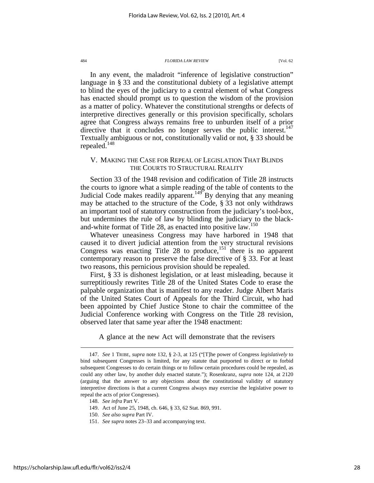In any event, the maladroit "inference of legislative construction" language in § 33 and the constitutional dubiety of a legislative attempt to blind the eyes of the judiciary to a central element of what Congress has enacted should prompt us to question the wisdom of the provision as a matter of policy. Whatever the constitutional strengths or defects of interpretive directives generally or this provision specifically, scholars agree that Congress always remains free to unburden itself of a prior directive that it concludes no longer serves the public interest.<sup>147</sup> Textually ambiguous or not, constitutionally valid or not, § 33 should be repealed.<sup>148</sup>

### V. MAKING THE CASE FOR REPEAL OF LEGISLATION THAT BLINDS THE COURTS TO STRUCTURAL REALITY

Section 33 of the 1948 revision and codification of Title 28 instructs the courts to ignore what a simple reading of the table of contents to the Judicial Code makes readily apparent.<sup>149</sup> By denying that any meaning may be attached to the structure of the Code, § 33 not only withdraws an important tool of statutory construction from the judiciary's tool-box, but undermines the rule of law by blinding the judiciary to the blackand-white format of Title 28, as enacted into positive law.<sup>150</sup>

Whatever uneasiness Congress may have harbored in 1948 that caused it to divert judicial attention from the very structural revisions Congress was enacting Title 28 to produce,<sup>151</sup> there is no apparent contemporary reason to preserve the false directive of § 33. For at least two reasons, this pernicious provision should be repealed.

First, § 33 is dishonest legislation, or at least misleading, because it surreptitiously rewrites Title 28 of the United States Code to erase the palpable organization that is manifest to any reader. Judge Albert Maris of the United States Court of Appeals for the Third Circuit, who had been appointed by Chief Justice Stone to chair the committee of the Judicial Conference working with Congress on the Title 28 revision, observed later that same year after the 1948 enactment:

A glance at the new Act will demonstrate that the revisers

- 150. *See also supra* Part IV.
- 151. *See supra* notes 23–33 and accompanying text.

 <sup>147.</sup> *See* 1 TRIBE, *supra* note 132, § 2-3, at 125 ("[T]he power of Congress *legislatively* to bind subsequent Congresses is limited, for any statute that purported to direct or to forbid subsequent Congresses to do certain things or to follow certain procedures could be repealed, as could any other law, by another duly enacted statute."); Rosenkranz, *supra* note 124, at 2120 (arguing that the answer to any objections about the constitutional validity of statutory interpretive directions is that a current Congress always may exercise the legislative power to repeal the acts of prior Congresses).

 <sup>148.</sup> *See infra* Part V.

 <sup>149.</sup> Act of June 25, 1948, ch. 646, § 33, 62 Stat. 869, 991.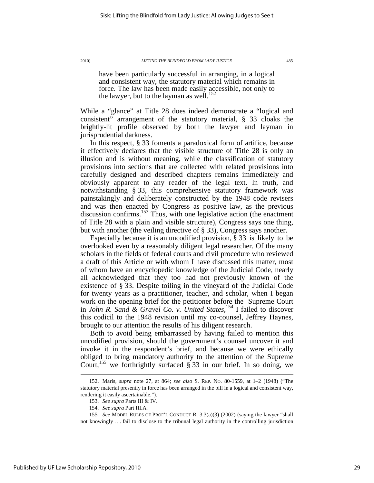have been particularly successful in arranging, in a logical and consistent way, the statutory material which remains in force. The law has been made easily accessible, not only to the lawyer, but to the layman as well.<sup>152</sup>

While a "glance" at Title 28 does indeed demonstrate a "logical and consistent" arrangement of the statutory material, § 33 cloaks the brightly-lit profile observed by both the lawyer and layman in jurisprudential darkness.

In this respect, § 33 foments a paradoxical form of artifice, because it effectively declares that the visible structure of Title 28 is only an illusion and is without meaning, while the classification of statutory provisions into sections that are collected with related provisions into carefully designed and described chapters remains immediately and obviously apparent to any reader of the legal text. In truth, and notwithstanding § 33, this comprehensive statutory framework was painstakingly and deliberately constructed by the 1948 code revisers and was then enacted by Congress as positive law, as the previous discussion confirms.<sup>153</sup> Thus, with one legislative action (the enactment of Title 28 with a plain and visible structure), Congress says one thing, but with another (the veiling directive of § 33), Congress says another.

Especially because it is an uncodified provision, § 33 is likely to be overlooked even by a reasonably diligent legal researcher. Of the many scholars in the fields of federal courts and civil procedure who reviewed a draft of this Article or with whom I have discussed this matter, most of whom have an encyclopedic knowledge of the Judicial Code, nearly all acknowledged that they too had not previously known of the existence of § 33. Despite toiling in the vineyard of the Judicial Code for twenty years as a practitioner, teacher, and scholar, when I began work on the opening brief for the petitioner before the Supreme Court in *John R. Sand & Gravel Co. v. United States*, <sup>154</sup> I failed to discover this codicil to the 1948 revision until my co-counsel, Jeffrey Haynes, brought to our attention the results of his diligent research.

Both to avoid being embarrassed by having failed to mention this uncodified provision, should the government's counsel uncover it and invoke it in the respondent's brief, and because we were ethically obliged to bring mandatory authority to the attention of the Supreme Court,<sup>155</sup> we forthrightly surfaced  $\S 33$  in our brief. In so doing, we

 <sup>152.</sup> Maris, *supra* note 27, at 864; *see also* S. REP. NO. 80-1559, at 1–2 (1948) ("The statutory material presently in force has been arranged in the bill in a logical and consistent way, rendering it easily ascertainable.").

 <sup>153.</sup> *See supra* Parts III & IV.

 <sup>154.</sup> *See supra* Part III.A.

 <sup>155.</sup> *See* MODEL RULES OF PROF'L CONDUCT R. 3.3(a)(3) (2002) (saying the lawyer "shall not knowingly . . . fail to disclose to the tribunal legal authority in the controlling jurisdiction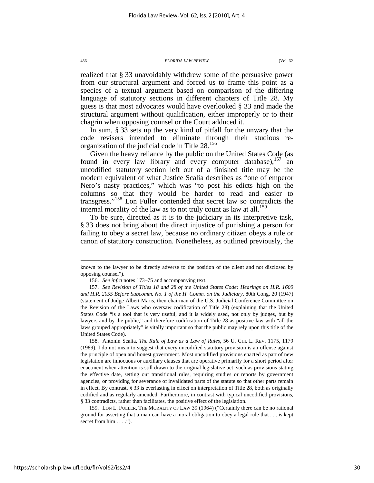realized that § 33 unavoidably withdrew some of the persuasive power from our structural argument and forced us to frame this point as a species of a textual argument based on comparison of the differing language of statutory sections in different chapters of Title 28. My guess is that most advocates would have overlooked § 33 and made the structural argument without qualification, either improperly or to their chagrin when opposing counsel or the Court adduced it.

In sum, § 33 sets up the very kind of pitfall for the unwary that the code revisers intended to eliminate through their studious reorganization of the judicial code in Title 28.<sup>156</sup>

Given the heavy reliance by the public on the United States Code (as found in every law library and every computer database),  $157$  and uncodified statutory section left out of a finished title may be the modern equivalent of what Justice Scalia describes as "one of emperor Nero's nasty practices," which was "to post his edicts high on the columns so that they would be harder to read and easier to transgress."<sup>158</sup> Lon Fuller contended that secret law so contradicts the internal morality of the law as to not truly count as law at all.<sup>159</sup>

To be sure, directed as it is to the judiciary in its interpretive task, § 33 does not bring about the direct injustice of punishing a person for failing to obey a secret law, because no ordinary citizen obeys a rule or canon of statutory construction. Nonetheless, as outlined previously, the

known to the lawyer to be directly adverse to the position of the client and not disclosed by opposing counsel").

 <sup>156.</sup> *See infra* notes 173–75 and accompanying text.

 <sup>157.</sup> *See Revision of Titles 18 and 28 of the United States Code: Hearings on H.R. 1600 and H.R. 2055 Before Subcomm. No. 1 of the H. Comm. on the Judiciary*, 80th Cong. 20 (1947) (statement of Judge Albert Maris, then chairman of the U.S. Judicial Conference Committee on the Revision of the Laws who oversaw codification of Title 28) (explaining that the United States Code "is a tool that is very useful, and it is widely used, not only by judges, but by lawyers and by the public," and therefore codification of Title 28 as positive law with "all the laws grouped appropriately" is vitally important so that the public may rely upon this title of the United States Code).

 <sup>158.</sup> Antonin Scalia, *The Rule of Law as a Law of Rules*, 56 U. CHI. L. REV. 1175, 1179 (1989). I do not mean to suggest that every uncodified statutory provision is an offense against the principle of open and honest government. Most uncodified provisions enacted as part of new legislation are innocuous or auxiliary clauses that are operative primarily for a short period after enactment when attention is still drawn to the original legislative act, such as provisions stating the effective date, setting out transitional rules, requiring studies or reports by government agencies, or providing for severance of invalidated parts of the statute so that other parts remain in effect. By contrast, § 33 is everlasting in effect on interpretation of Title 28, both as originally codified and as regularly amended. Furthermore, in contrast with typical uncodified provisions, § 33 contradicts, rather than facilitates, the positive effect of the legislation.

 <sup>159.</sup> LON L. FULLER, THE MORALITY OF LAW 39 (1964) ("Certainly there can be no rational ground for asserting that a man can have a moral obligation to obey a legal rule that . . . is kept secret from him . . . .").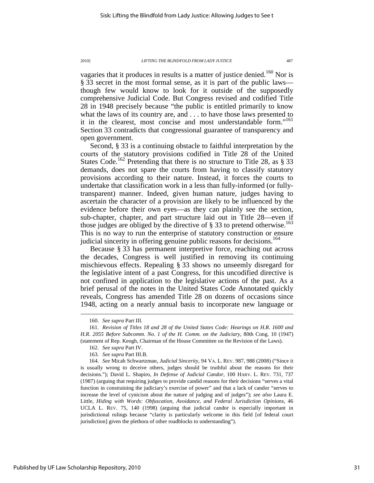vagaries that it produces in results is a matter of justice denied.<sup>160</sup> Nor is § 33 secret in the most formal sense, as it is part of the public laws though few would know to look for it outside of the supposedly comprehensive Judicial Code. But Congress revised and codified Title 28 in 1948 precisely because "the public is entitled primarily to know what the laws of its country are, and . . . to have those laws presented to it in the clearest, most concise and most understandable form."<sup>161</sup> Section 33 contradicts that congressional guarantee of transparency and open government.

Second, § 33 is a continuing obstacle to faithful interpretation by the courts of the statutory provisions codified in Title 28 of the United States Code.<sup>162</sup> Pretending that there is no structure to Title 28, as  $\S 33$ demands, does not spare the courts from having to classify statutory provisions according to their nature. Instead, it forces the courts to undertake that classification work in a less than fully-informed (or fullytransparent) manner. Indeed, given human nature, judges having to ascertain the character of a provision are likely to be influenced by the evidence before their own eyes—as they can plainly see the section, sub-chapter, chapter, and part structure laid out in Title 28—even if those judges are obliged by the directive of  $\S 33$  to pretend otherwise.<sup>163</sup> This is no way to run the enterprise of statutory construction or ensure judicial sincerity in offering genuine public reasons for decisions.<sup>164</sup>

Because § 33 has permanent interpretive force, reaching out across the decades, Congress is well justified in removing its continuing mischievous effects. Repealing § 33 shows no unseemly disregard for the legislative intent of a past Congress, for this uncodified directive is not confined in application to the legislative actions of the past. As a brief perusal of the notes in the United States Code Annotated quickly reveals, Congress has amended Title 28 on dozens of occasions since 1948, acting on a nearly annual basis to incorporate new language or

 <sup>160.</sup> *See supra* Part III.

 <sup>161.</sup> *Revision of Titles 18 and 28 of the United States Code: Hearings on H.R. 1600 and H.R. 2055 Before Subcomm. No. 1 of the H. Comm. on the Judiciary*, 80th Cong. 10 (1947) (statement of Rep. Keogh, Chairman of the House Committee on the Revision of the Laws).

 <sup>162.</sup> *See supra* Part IV.

 <sup>163.</sup> *See supra* Part III.B.

 <sup>164.</sup> *See* Micah Schwartzman, *Judicial Sincerity*, 94 VA. L. REV. 987, 988 (2008) ("Since it is usually wrong to deceive others, judges should be truthful about the reasons for their decisions."); David L. Shapiro, *In Defense of Judicial Candor*, 100 HARV. L. REV. 731, 737 (1987) (arguing that requiring judges to provide candid reasons for their decisions "serves a vital function in constraining the judiciary's exercise of power" and that a lack of candor "serves to increase the level of cynicism about the nature of judging and of judges"); *see also* Laura E. Little, *Hiding with Words: Obfuscation, Avoidance, and Federal Jurisdiction Opinions*, 46 UCLA L. REV. 75, 140 (1998) (arguing that judicial candor is especially important in jurisdictional rulings because "clarity is particularly welcome in this field [of federal court jurisdiction] given the plethora of other roadblocks to understanding").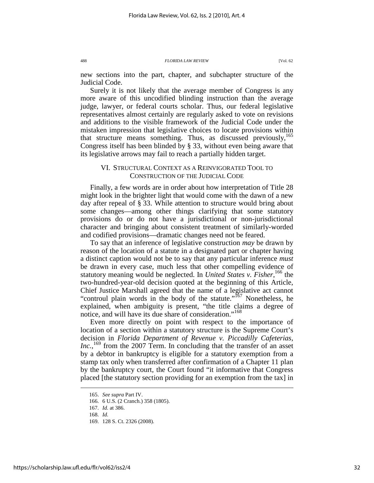new sections into the part, chapter, and subchapter structure of the Judicial Code.

Surely it is not likely that the average member of Congress is any more aware of this uncodified blinding instruction than the average judge, lawyer, or federal courts scholar. Thus, our federal legislative representatives almost certainly are regularly asked to vote on revisions and additions to the visible framework of the Judicial Code under the mistaken impression that legislative choices to locate provisions within that structure means something. Thus, as discussed previously,  $165$ Congress itself has been blinded by § 33, without even being aware that its legislative arrows may fail to reach a partially hidden target.

### VI. STRUCTURAL CONTEXT AS A REINVIGORATED TOOL TO CONSTRUCTION OF THE JUDICIAL CODE

Finally, a few words are in order about how interpretation of Title 28 might look in the brighter light that would come with the dawn of a new day after repeal of § 33. While attention to structure would bring about some changes—among other things clarifying that some statutory provisions do or do not have a jurisdictional or non-jurisdictional character and bringing about consistent treatment of similarly-worded and codified provisions—dramatic changes need not be feared.

To say that an inference of legislative construction *may* be drawn by reason of the location of a statute in a designated part or chapter having a distinct caption would not be to say that any particular inference *must* be drawn in every case, much less that other compelling evidence of statutory meaning would be neglected. In *United States v. Fisher*, <sup>166</sup> the two-hundred-year-old decision quoted at the beginning of this Article, Chief Justice Marshall agreed that the name of a legislative act cannot "controul plain words in the body of the statute."<sup>167</sup> Nonetheless, he explained, when ambiguity is present, "the title claims a degree of notice, and will have its due share of consideration."<sup>168</sup>

Even more directly on point with respect to the importance of location of a section within a statutory structure is the Supreme Court's decision in *Florida Department of Revenue v. Piccadilly Cafeterias, Inc.*,<sup>169</sup> from the 2007 Term. In concluding that the transfer of an asset by a debtor in bankruptcy is eligible for a statutory exemption from a stamp tax only when transferred after confirmation of a Chapter 11 plan by the bankruptcy court, the Court found "it informative that Congress placed [the statutory section providing for an exemption from the tax] in

 <sup>165.</sup> *See supra* Part IV.

 <sup>166. 6</sup> U.S. (2 Cranch.) 358 (1805).

 <sup>167.</sup> *Id.* at 386.

 <sup>168.</sup> *Id.*

 <sup>169. 128</sup> S. Ct. 2326 (2008).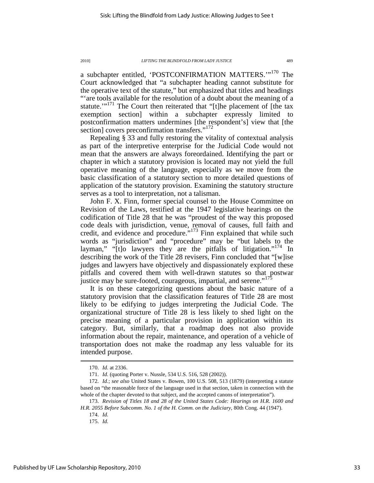a subchapter entitled, 'POSTCONFIRMATION MATTERS.'"<sup>170</sup> The Court acknowledged that "a subchapter heading cannot substitute for the operative text of the statute," but emphasized that titles and headings "'are tools available for the resolution of a doubt about the meaning of a statute."<sup>171</sup> The Court then reiterated that "[t]he placement of [the tax exemption section] within a subchapter expressly limited to postconfirmation matters undermines [the respondent's] view that [the section] covers preconfirmation transfers."<sup>172</sup>

Repealing § 33 and fully restoring the vitality of contextual analysis as part of the interpretive enterprise for the Judicial Code would not mean that the answers are always foreordained. Identifying the part or chapter in which a statutory provision is located may not yield the full operative meaning of the language, especially as we move from the basic classification of a statutory section to more detailed questions of application of the statutory provision. Examining the statutory structure serves as a tool to interpretation, not a talisman.

John F. X. Finn, former special counsel to the House Committee on Revision of the Laws, testified at the 1947 legislative hearings on the codification of Title 28 that he was "proudest of the way this proposed code deals with jurisdiction, venue, removal of causes, full faith and credit, and evidence and procedure."<sup>173</sup> Finn explained that while such words as "jurisdiction" and "procedure" may be "but labels to the layman," " $[t]$ o lawyers they are the pitfalls of litigation."<sup>174</sup> In describing the work of the Title 28 revisers, Finn concluded that "[w]ise judges and lawyers have objectively and dispassionately explored these pitfalls and covered them with well-drawn statutes so that postwar justice may be sure-footed, courageous, impartial, and serene."<sup>175</sup>

It is on these categorizing questions about the basic nature of a statutory provision that the classification features of Title 28 are most likely to be edifying to judges interpreting the Judicial Code. The organizational structure of Title 28 is less likely to shed light on the precise meaning of a particular provision in application within its category. But, similarly, that a roadmap does not also provide information about the repair, maintenance, and operation of a vehicle of transportation does not make the roadmap any less valuable for its intended purpose.

 <sup>170.</sup> *Id.* at 2336.

 <sup>171.</sup> *Id.* (quoting Porter v. Nussle, 534 U.S. 516, 528 (2002)).

 <sup>172.</sup> *Id.*; *see also* United States v. Bowen, 100 U.S. 508, 513 (1879) (interpreting a statute based on "the reasonable force of the language used in that section, taken in connection with the whole of the chapter devoted to that subject, and the accepted canons of interpretation").

 <sup>173.</sup> *Revision of Titles 18 and 28 of the United States Code: Hearings on H.R. 1600 and H.R. 2055 Before Subcomm. No. 1 of the H. Comm. on the Judiciary*, 80th Cong. 44 (1947).

 <sup>174.</sup> *Id.*

 <sup>175.</sup> *Id.*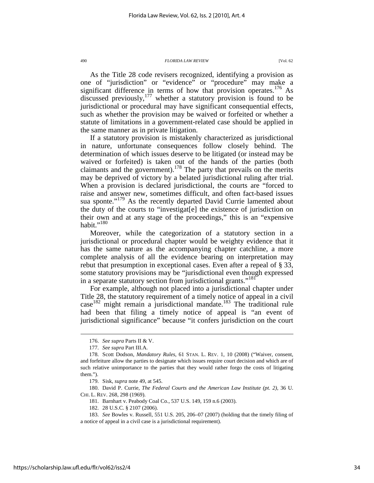As the Title 28 code revisers recognized, identifying a provision as one of "jurisdiction" or "evidence" or "procedure" may make a significant difference in terms of how that provision operates.<sup>176</sup> As discussed previously, $177$  whether a statutory provision is found to be jurisdictional or procedural may have significant consequential effects, such as whether the provision may be waived or forfeited or whether a statute of limitations in a government-related case should be applied in the same manner as in private litigation.

If a statutory provision is mistakenly characterized as jurisdictional in nature, unfortunate consequences follow closely behind. The determination of which issues deserve to be litigated (or instead may be waived or forfeited) is taken out of the hands of the parties (both claimants and the government).<sup>178</sup> The party that prevails on the merits may be deprived of victory by a belated jurisdictional ruling after trial. When a provision is declared jurisdictional, the courts are "forced to raise and answer new, sometimes difficult, and often fact-based issues sua sponte."<sup>179</sup> As the recently departed David Currie lamented about the duty of the courts to "investigat[e] the existence of jurisdiction on their own and at any stage of the proceedings," this is an "expensive habit." $^{180}$ 

Moreover, while the categorization of a statutory section in a jurisdictional or procedural chapter would be weighty evidence that it has the same nature as the accompanying chapter catchline, a more complete analysis of all the evidence bearing on interpretation may rebut that presumption in exceptional cases. Even after a repeal of § 33, some statutory provisions may be "jurisdictional even though expressed in a separate statutory section from jurisdictional grants."<sup>181</sup>

For example, although not placed into a jurisdictional chapter under Title 28, the statutory requirement of a timely notice of appeal in a civil  $\csc^{182}$  might remain a jurisdictional mandate.<sup>183</sup> The traditional rule had been that filing a timely notice of appeal is "an event of jurisdictional significance" because "it confers jurisdiction on the court

 <sup>176.</sup> *See supra* Parts II & V.

 <sup>177.</sup> *See supra* Part III.A.

 <sup>178.</sup> Scott Dodson, *Mandatory Rules*, 61 STAN. L. REV. 1, 10 (2008) ("Waiver, consent, and forfeiture allow the parties to designate which issues require court decision and which are of such relative unimportance to the parties that they would rather forgo the costs of litigating them.").

 <sup>179.</sup> Sisk, *supra* note 49, at 545.

 <sup>180.</sup> David P. Currie, *The Federal Courts and the American Law Institute (pt. 2)*, 36 U. CHI. L. REV. 268, 298 (1969).

 <sup>181.</sup> Barnhart v. Peabody Coal Co., 537 U.S. 149, 159 n.6 (2003).

 <sup>182. 28</sup> U.S.C. § 2107 (2006).

 <sup>183.</sup> *See* Bowles v. Russell, 551 U.S. 205, 206–07 (2007) (holding that the timely filing of a notice of appeal in a civil case is a jurisdictional requirement).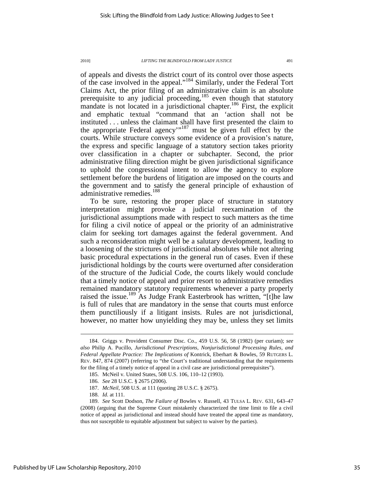of appeals and divests the district court of its control over those aspects of the case involved in the appeal."<sup>184</sup> Similarly, under the Federal Tort Claims Act, the prior filing of an administrative claim is an absolute prerequisite to any judicial proceeding, $185$  even though that statutory mandate is not located in a jurisdictional chapter.<sup>186</sup> First, the explicit and emphatic textual "command that an 'action shall not be instituted . . . unless the claimant shall have first presented the claim to the appropriate Federal agency"<sup>187</sup> must be given full effect by the courts. While structure conveys some evidence of a provision's nature, the express and specific language of a statutory section takes priority over classification in a chapter or subchapter. Second, the prior administrative filing direction might be given jurisdictional significance to uphold the congressional intent to allow the agency to explore settlement before the burdens of litigation are imposed on the courts and the government and to satisfy the general principle of exhaustion of administrative remedies.<sup>188</sup>

To be sure, restoring the proper place of structure in statutory interpretation might provoke a judicial reexamination of the jurisdictional assumptions made with respect to such matters as the time for filing a civil notice of appeal or the priority of an administrative claim for seeking tort damages against the federal government. And such a reconsideration might well be a salutary development, leading to a loosening of the strictures of jurisdictional absolutes while not altering basic procedural expectations in the general run of cases. Even if these jurisdictional holdings by the courts were overturned after consideration of the structure of the Judicial Code, the courts likely would conclude that a timely notice of appeal and prior resort to administrative remedies remained mandatory statutory requirements whenever a party properly raised the issue.<sup>189</sup> As Judge Frank Easterbrook has written, "[t]he law is full of rules that are mandatory in the sense that courts must enforce them punctiliously if a litigant insists. Rules are not jurisdictional, however, no matter how unyielding they may be, unless they set limits

 <sup>184.</sup> Griggs v. Provident Consumer Disc. Co., 459 U.S. 56, 58 (1982) (per curiam); *see also* Philip A. Pucillo, *Jurisdictional Prescriptions, Nonjurisdictional Processing Rules, and Federal Appellate Practice: The Implications of* Kontrick, Eberhart & Bowles, 59 RUTGERS L. REV. 847, 874 (2007) (referring to "the Court's traditional understanding that the requirements for the filing of a timely notice of appeal in a civil case are jurisdictional prerequisites").

 <sup>185.</sup> McNeil v. United States, 508 U.S. 106, 110–12 (1993).

 <sup>186.</sup> *See* 28 U.S.C. § 2675 (2006).

 <sup>187.</sup> *McNeil*, 508 U.S. at 111 (quoting 28 U.S.C. § 2675).

 <sup>188.</sup> *Id.* at 111.

 <sup>189.</sup> *See* Scott Dodson, *The Failure of* Bowles v. Russell, 43 TULSA L. REV. 631, 643–47 (2008) (arguing that the Supreme Court mistakenly characterized the time limit to file a civil notice of appeal as jurisdictional and instead should have treated the appeal time as mandatory, thus not susceptible to equitable adjustment but subject to waiver by the parties).